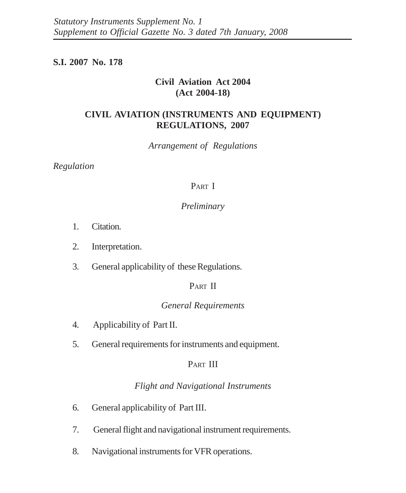# **S.I. 2007 No. 178**

# **Civil Aviation Act 2004 (Act 2004-18)**

# **CIVIL AVIATION (INSTRUMENTS AND EQUIPMENT) REGULATIONS, 2007**

*Arrangement of Regulations*

*Regulation*

# PART I

# *Preliminary*

- 1. Citation.
- 2. Interpretation.
- 3. General applicability of these Regulations.

# PART II

# *General Requirements*

- 4. Applicability of Part II.
- 5. General requirements for instruments and equipment.

# PART III

# *Flight and Navigational Instruments*

- 6. General applicability of Part III.
- 7. General flight and navigational instrument requirements.
- 8. Navigational instruments for VFR operations.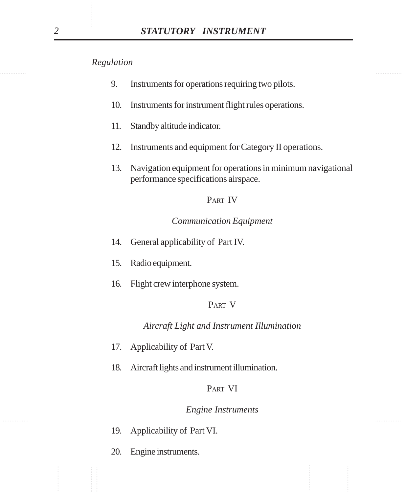- 9. Instruments for operations requiring two pilots.
- 10. Instruments for instrument flight rules operations.
- 11. Standby altitude indicator.
- 12. Instruments and equipment for Category II operations.
- 13. Navigation equipment for operations in minimum navigational performance specifications airspace.

### PART IV

# *Communication Equipment*

- 14. General applicability of Part IV.
- 15. Radio equipment.
- 16. Flight crew interphone system.

### PART V

*Aircraft Light and Instrument Illumination*

- 17. Applicability of Part V.
- 18. Aircraft lights and instrument illumination.

### PART VI

### *Engine Instruments*

- 19. Applicability of Part VI.
- 20. Engine instruments.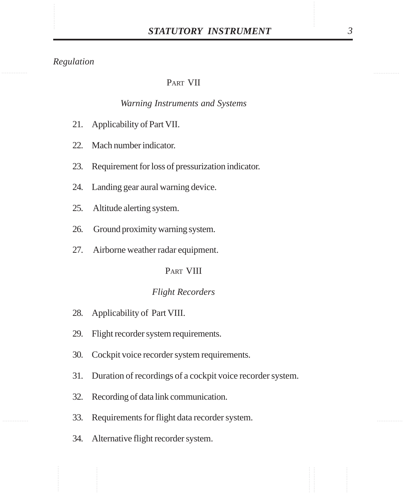# PART VII

# *Warning Instruments and Systems*

- 21. Applicability of Part VII.
- 22. Mach number indicator.
- 23. Requirement for loss of pressurization indicator.
- 24. Landing gear aural warning device.
- 25. Altitude alerting system.
- 26. Ground proximity warning system.
- 27. Airborne weather radar equipment.

# PART VIII

### *Flight Recorders*

- 28. Applicability of Part VIII.
- 29. Flight recorder system requirements.
- 30. Cockpit voice recorder system requirements.
- 31. Duration of recordings of a cockpit voice recorder system.
- 32. Recording of data link communication.
- 33. Requirements for flight data recorder system.
- 34. Alternative flight recorder system.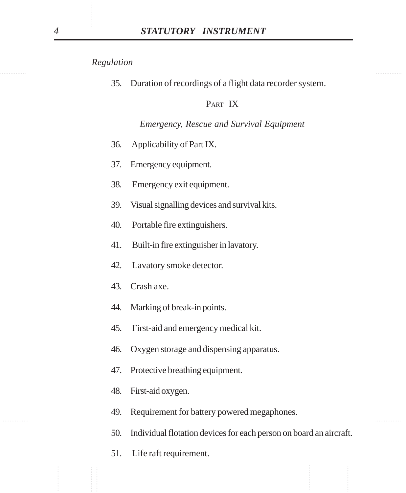35. Duration of recordings of a flight data recorder system.

## PART IX

### *Emergency, Rescue and Survival Equipment*

- 36. Applicability of Part IX.
- 37. Emergency equipment.
- 38. Emergency exit equipment.
- 39. Visual signalling devices and survival kits.
- 40. Portable fire extinguishers.
- 41. Built-in fire extinguisher in lavatory.
- 42. Lavatory smoke detector.
- 43. Crash axe.
- 44. Marking of break-in points.
- 45. First-aid and emergency medical kit.
- 46. Oxygen storage and dispensing apparatus.
- 47. Protective breathing equipment.
- 48. First-aid oxygen.
- ............... ............... 49. Requirement for battery powered megaphones.
	- 50. Individual flotation devices for each person on board an aircraft.
	- 51. Life raft requirement.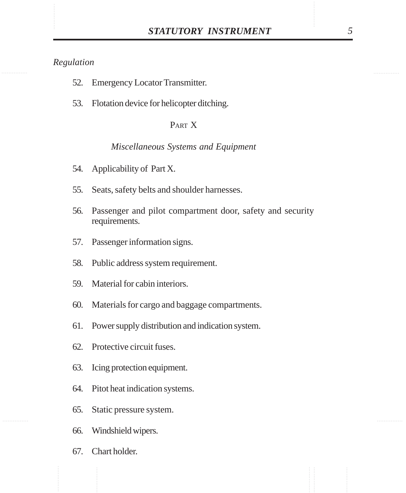- 52. Emergency Locator Transmitter.
- 53. Flotation device for helicopter ditching.

# PART X

### *Miscellaneous Systems and Equipment*

- 54. Applicability of Part X.
- 55. Seats, safety belts and shoulder harnesses.
- 56. Passenger and pilot compartment door, safety and security requirements.
- 57. Passenger information signs.
- 58. Public address system requirement.
- 59. Material for cabin interiors.
- 60. Materials for cargo and baggage compartments.
- 61. Power supply distribution and indication system.
- 62. Protective circuit fuses.
- 63. Icing protection equipment.
- 64. Pitot heat indication systems.
- 65. Static pressure system.
- 66. Windshield wipers.
- 67. Chart holder.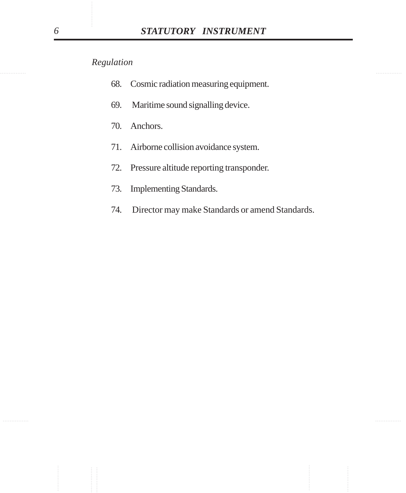- 68. Cosmic radiation measuring equipment.
- 69. Maritime sound signalling device.
- 70. Anchors.
- 71. Airborne collision avoidance system.
- 72. Pressure altitude reporting transponder.
- 73. Implementing Standards.
- 74. Director may make Standards or amend Standards.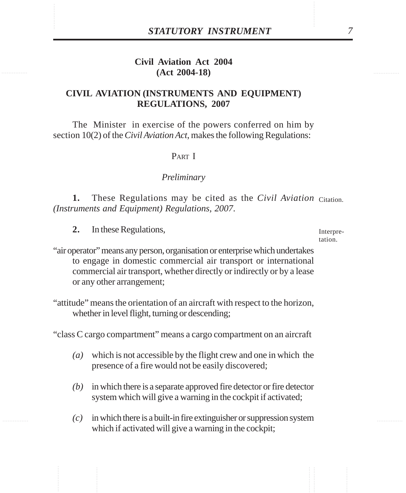# STATUTORY INSTRUMENT<br>
Civil Aviation Act 2004<br>
(Act 2004-18) **Civil Aviation Act 2004 (Act 2004-18)**

# **CIVIL AVIATION (INSTRUMENTS AND EQUIPMENT) REGULATIONS, 2007**

The Minister in exercise of the powers conferred on him by section 10(2) of the *Civil Aviation Act*, makes the following Regulations:

### PART I

### *Preliminary*

1. These Regulations may be cited as the *Civil Aviation* Citation. *(Instruments and Equipment) Regulations, 2007*.

**2.** In these Regulations,

Interpretation.

"air operator" means any person, organisation or enterprise which undertakes to engage in domestic commercial air transport or international commercial air transport, whether directly or indirectly or by a lease or any other arrangement;

"attitude" means the orientation of an aircraft with respect to the horizon, whether in level flight, turning or descending;

"class C cargo compartment" means a cargo compartment on an aircraft

- *(a)* which is not accessible by the flight crew and one in which the presence of a fire would not be easily discovered;
- *(b)* in which there is a separate approved fire detector or fire detector system which will give a warning in the cockpit if activated;
- *(c)* in which there is a built-in fire extinguisher or suppression system which if activated will give a warning in the cockpit;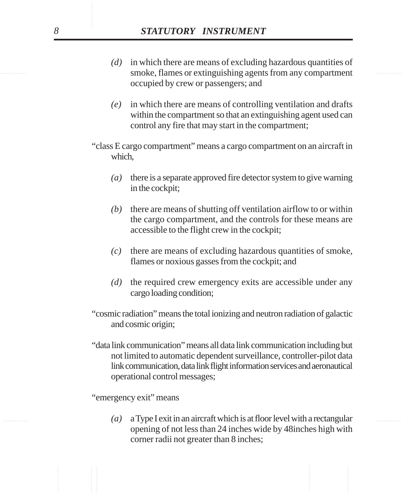- smoke, flames or extinguishing agents from any compartment *(d)* in which there are means of excluding hazardous quantities of occupied by crew or passengers; and
	- *(e)* in which there are means of controlling ventilation and drafts within the compartment so that an extinguishing agent used can control any fire that may start in the compartment;
	- "class E cargo compartment" means a cargo compartment on an aircraft in which,
		- *(a)* there is a separate approved fire detector system to give warning in the cockpit;
		- *(b)* there are means of shutting off ventilation airflow to or within the cargo compartment, and the controls for these means are accessible to the flight crew in the cockpit;
		- *(c)* there are means of excluding hazardous quantities of smoke, flames or noxious gasses from the cockpit; and
		- *(d)* the required crew emergency exits are accessible under any cargo loading condition;
	- "cosmic radiation" means the total ionizing and neutron radiation of galactic and cosmic origin;
	- "data link communication" means all data link communication including but not limited to automatic dependent surveillance, controller-pilot data link communication, data link flight information services and aeronautical operational control messages;

"emergency exit" means

............... ............... *(a)* a Type I exit in an aircraft which is at floor level with a rectangular opening of not less than 24 inches wide by 48inches high with corner radii not greater than 8 inches;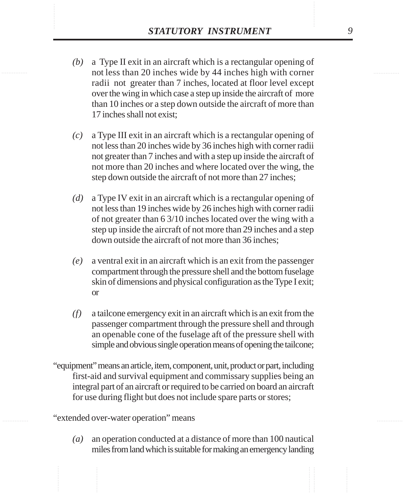- **STATUTORY INSTRUMENT** 9<br>(b) a Type II exit in an aircraft which is a rectangular opening of not less than 20 inches wide by 44 inches high with corner *(b)* a Type II exit in an aircraft which is a rectangular opening of not less than 20 inches wide by 44 inches high with corner radii not greater than 7 inches, located at floor level except over the wing in which case a step up inside the aircraft of more than 10 inches or a step down outside the aircraft of more than 17 inches shall not exist;
	- *(c)* a Type III exit in an aircraft which is a rectangular opening of not less than 20 inches wide by 36 inches high with corner radii not greater than 7 inches and with a step up inside the aircraft of not more than 20 inches and where located over the wing, the step down outside the aircraft of not more than 27 inches;
	- *(d)* a Type IV exit in an aircraft which is a rectangular opening of not less than 19 inches wide by 26 inches high with corner radii of not greater than 6 3/10 inches located over the wing with a step up inside the aircraft of not more than 29 inches and a step down outside the aircraft of not more than 36 inches;
	- *(e)* a ventral exit in an aircraft which is an exit from the passenger compartment through the pressure shell and the bottom fuselage skin of dimensions and physical configuration as the Type I exit; or
	- *(f)* a tailcone emergency exit in an aircraft which is an exit from the passenger compartment through the pressure shell and through an openable cone of the fuselage aft of the pressure shell with simple and obvious single operation means of opening the tailcone;
	- "equipment" means an article, item, component, unit, product or part, including first-aid and survival equipment and commissary supplies being an integral part of an aircraft or required to be carried on board an aircraft for use during flight but does not include spare parts or stores;

"extended over-water operation" means

*(a)* an operation conducted at a distance of more than 100 nautical miles from land which is suitable for making an emergency landing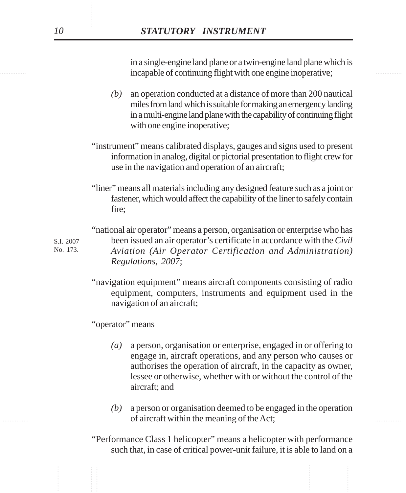incapable of continuing flight with one engine inoperative; in a single-engine land plane or a twin-engine land plane which is

- *(b)* an operation conducted at a distance of more than 200 nautical miles from land which is suitable for making an emergency landing in a multi-engine land plane with the capability of continuing flight with one engine inoperative;
- "instrument" means calibrated displays, gauges and signs used to present information in analog, digital or pictorial presentation to flight crew for use in the navigation and operation of an aircraft;
- "liner" means all materials including any designed feature such as a joint or fastener, which would affect the capability of the liner to safely contain fire;

"national air operator" means a person, organisation or enterprise who has been issued an air operator's certificate in accordance with the *Civil Aviation (Air Operator Certification and Administration) Regulations, 2007*;

"navigation equipment" means aircraft components consisting of radio equipment, computers, instruments and equipment used in the navigation of an aircraft;

"operator" means

- *(a)* a person, organisation or enterprise, engaged in or offering to engage in, aircraft operations, and any person who causes or authorises the operation of aircraft, in the capacity as owner, lessee or otherwise, whether with or without the control of the aircraft; and
- of aircraft within the meaning of the Act; *(b)* a person or organisation deemed to be engaged in the operation
	- "Performance Class 1 helicopter" means a helicopter with performance such that, in case of critical power-unit failure, it is able to land on a

S.I. 2007 No. 173.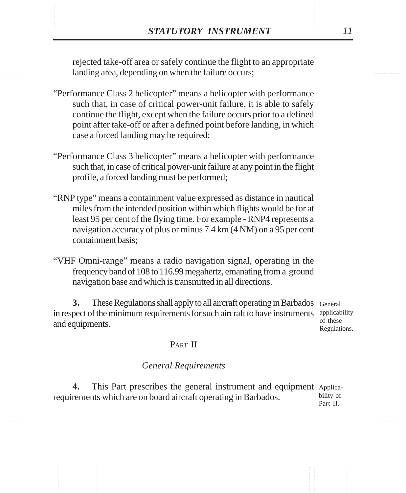**STATUTORY INSTRUMENT** 11<br>
rejected take-off area or safely continue the flight to an appropriate<br>
landing area. depending on when the failure occurs: rejected take-off area or safely continue the flight to an appropriate landing area, depending on when the failure occurs;

- "Performance Class 2 helicopter" means a helicopter with performance such that, in case of critical power-unit failure, it is able to safely continue the flight, except when the failure occurs prior to a defined point after take-off or after a defined point before landing, in which case a forced landing may be required;
- "Performance Class 3 helicopter" means a helicopter with performance such that, in case of critical power-unit failure at any point in the flight profile, a forced landing must be performed;
- "RNP type" means a containment value expressed as distance in nautical miles from the intended position within which flights would be for at least 95 per cent of the flying time. For example - RNP4 represents a navigation accuracy of plus or minus 7.4 km (4 NM) on a 95 per cent containment basis;
- "VHF Omni-range" means a radio navigation signal, operating in the frequency band of 108 to 116.99 megahertz, emanating from a ground navigation base and which is transmitted in all directions.

**3.** These Regulations shall apply to all aircraft operating in Barbados General in respect of the minimum requirements for such aircraft to have instruments applicability and equipments.

of these Regulations.

### PART II

### *General Requirements*

4. This Part prescribes the general instrument and equipment Applicarequirements which are on board aircraft operating in Barbados. bility of Part II.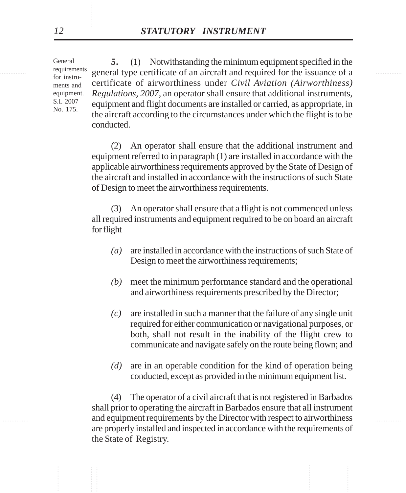General requirements for instruments and equipment. S.I. 2007 No. 175.

requirements general type certificate of an aircraft and required for the issuance of a **5.** (1) Notwithstanding the minimum equipment specified in the certificate of airworthiness under *Civil Aviation (Airworthiness) Regulations, 2007*, an operator shall ensure that additional instruments, equipment and flight documents are installed or carried, as appropriate, in the aircraft according to the circumstances under which the flight is to be conducted.

> (2) An operator shall ensure that the additional instrument and equipment referred to in paragraph (1) are installed in accordance with the applicable airworthiness requirements approved by the State of Design of the aircraft and installed in accordance with the instructions of such State of Design to meet the airworthiness requirements.

> (3) An operator shall ensure that a flight is not commenced unless all required instruments and equipment required to be on board an aircraft for flight

- *(a)* are installed in accordance with the instructions of such State of Design to meet the airworthiness requirements;
- *(b)* meet the minimum performance standard and the operational and airworthiness requirements prescribed by the Director;
- *(c)* are installed in such a manner that the failure of any single unit required for either communication or navigational purposes, or both, shall not result in the inability of the flight crew to communicate and navigate safely on the route being flown; and
- *(d)* are in an operable condition for the kind of operation being conducted, except as provided in the minimum equipment list.

............... ............... and equipment requirements by the Director with respect to airworthiness (4) The operator of a civil aircraft that is not registered in Barbados shall prior to operating the aircraft in Barbados ensure that all instrument are properly installed and inspected in accordance with the requirements of the State of Registry.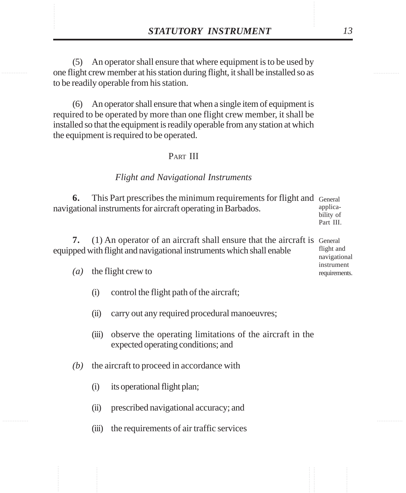**STATUTORY INSTRUMENT** 13<br>
(5) An operator shall ensure that where equipment is to be used by<br>
one flight crew member at his station during flight. it shall be installed so as (5) An operator shall ensure that where equipment is to be used by one flight crew member at his station during flight, it shall be installed so as to be readily operable from his station.

> (6) An operator shall ensure that when a single item of equipment is required to be operated by more than one flight crew member, it shall be installed so that the equipment is readily operable from any station at which the equipment is required to be operated.

### PART III

### *Flight and Navigational Instruments*

**6.** This Part prescribes the minimum requirements for flight and General navigational instruments for aircraft operating in Barbados. applica-

bility of Part III.

| 7. (1) An operator of an aircraft shall ensure that the aircraft is General |                             |
|-----------------------------------------------------------------------------|-----------------------------|
| equipped with flight and navigational instruments which shall enable        | flight and                  |
|                                                                             | navigational                |
| ( <i>a</i> ) the flight crew to                                             | instrument<br>requirements. |

- (i) control the flight path of the aircraft;
- (ii) carry out any required procedural manoeuvres;
- (iii) observe the operating limitations of the aircraft in the expected operating conditions; and
- *(b)* the aircraft to proceed in accordance with
	- (i) its operational flight plan;
	- (ii) prescribed navigational accuracy; and
	- (iii) the requirements of air traffic services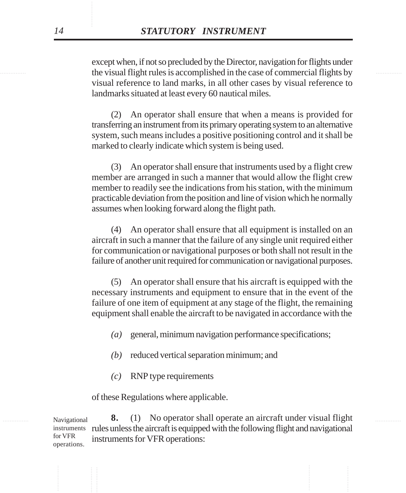the visual flight rules is accomplished in the case of commercial flights by except when, if not so precluded by the Director, navigation for flights under visual reference to land marks, in all other cases by visual reference to landmarks situated at least every 60 nautical miles.

> (2) An operator shall ensure that when a means is provided for transferring an instrument from its primary operating system to an alternative system, such means includes a positive positioning control and it shall be marked to clearly indicate which system is being used.

> (3) An operator shall ensure that instruments used by a flight crew member are arranged in such a manner that would allow the flight crew member to readily see the indications from his station, with the minimum practicable deviation from the position and line of vision which he normally assumes when looking forward along the flight path.

> (4) An operator shall ensure that all equipment is installed on an aircraft in such a manner that the failure of any single unit required either for communication or navigational purposes or both shall not result in the failure of another unit required for communication or navigational purposes.

> (5) An operator shall ensure that his aircraft is equipped with the necessary instruments and equipment to ensure that in the event of the failure of one item of equipment at any stage of the flight, the remaining equipment shall enable the aircraft to be navigated in accordance with the

- *(a)* general, minimum navigation performance specifications;
- *(b)* reduced vertical separation minimum; and
- *(c)* RNP type requirements

of these Regulations where applicable.

Navigational **8.** (1) No operator shall operate an aircraft under visual flight instruments rules unless the aircraft is equipped with the following flight and navigational instruments for VFR operations: Navigational for VFR operations.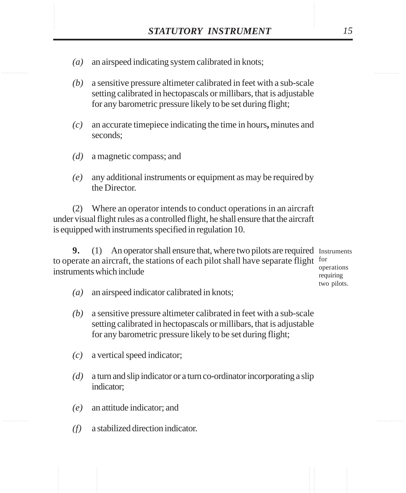- XXXTUTORY INSTRUMENT 15<br>(a) an airspeed indicating system calibrated in knots; *(a)* an airspeed indicating system calibrated in knots;
	- *(b)* a sensitive pressure altimeter calibrated in feet with a sub-scale setting calibrated in hectopascals or millibars, that is adjustable for any barometric pressure likely to be set during flight;
	- *(c)* an accurate timepiece indicating the time in hours**,** minutes and seconds;
	- *(d)* a magnetic compass; and
	- *(e)* any additional instruments or equipment as may be required by the Director.

(2) Where an operator intends to conduct operations in an aircraft under visual flight rules as a controlled flight, he shall ensure that the aircraft is equipped with instruments specified in regulation 10.

**9.** (1) An operator shall ensure that, where two pilots are required Instruments to operate an aircraft, the stations of each pilot shall have separate flight for instruments which include operations requiring

two pilots.

- *(a)* an airspeed indicator calibrated in knots;
- *(b)* a sensitive pressure altimeter calibrated in feet with a sub-scale setting calibrated in hectopascals or millibars, that is adjustable for any barometric pressure likely to be set during flight;
- *(c)* a vertical speed indicator;
- *(d)* a turn and slip indicator or a turn co-ordinator incorporating a slip indicator;
- *(e)* an attitude indicator; and
- *(f)* a stabilized direction indicator.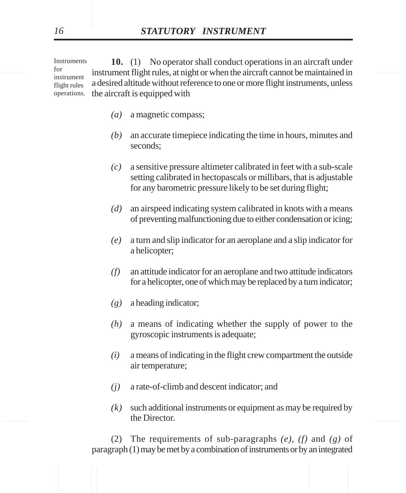I<sup>for</sup> instrument flight rules, at night or when the aircraft cannot be maintained in **10.** (1) No operator shall conduct operations in an aircraft under a desired altitude without reference to one or more flight instruments, unless the aircraft is equipped with **Instruments** for instrument flight rules operations.

- *(a)* a magnetic compass;
- *(b)* an accurate timepiece indicating the time in hours, minutes and seconds;
- *(c)* a sensitive pressure altimeter calibrated in feet with a sub-scale setting calibrated in hectopascals or millibars, that is adjustable for any barometric pressure likely to be set during flight;
- *(d)* an airspeed indicating system calibrated in knots with a means of preventing malfunctioning due to either condensation or icing;
- *(e)* a turn and slip indicator for an aeroplane and a slip indicator for a helicopter;
- *(f)* an attitude indicator for an aeroplane and two attitude indicators for a helicopter, one of which may be replaced by a turn indicator;
- *(g)* a heading indicator;
- *(h)* a means of indicating whether the supply of power to the gyroscopic instruments is adequate;
- *(i)* a means of indicating in the flight crew compartment the outside air temperature;
- *(j)* a rate-of-climb and descent indicator; and
- the Director. The Samman and the Samman and the Samman and the Samman and the Samman and the Samman and the Samman and the Samman and the Samman and the Samman and the Samman and the Samman and the Samman and the Samman an *(k)* such additional instruments or equipment as may be required by the Director.

(2) The requirements of sub-paragraphs *(e), (f)* and *(g)* of paragraph (1) may be met by a combination of instruments or by an integrated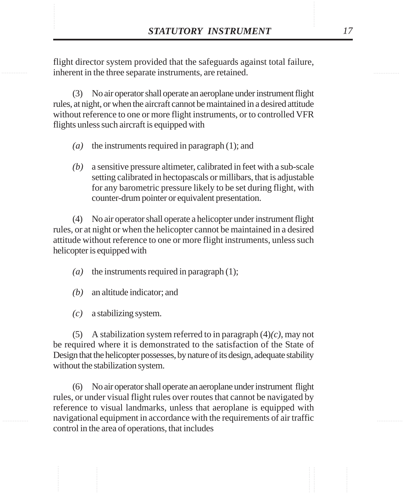**STATUTORY INSTRUMENT** 17<br>
flight director system provided that the safeguards against total failure,<br>
inherent in the three separate instruments, are retained. flight director system provided that the safeguards against total failure, inherent in the three separate instruments, are retained.

> (3) No air operator shall operate an aeroplane under instrument flight rules, at night, or when the aircraft cannot be maintained in a desired attitude without reference to one or more flight instruments, or to controlled VFR flights unless such aircraft is equipped with

- *(a)* the instruments required in paragraph (1); and
- *(b)* a sensitive pressure altimeter, calibrated in feet with a sub-scale setting calibrated in hectopascals or millibars, that is adjustable for any barometric pressure likely to be set during flight, with counter-drum pointer or equivalent presentation.

(4) No air operator shall operate a helicopter under instrument flight rules, or at night or when the helicopter cannot be maintained in a desired attitude without reference to one or more flight instruments, unless such helicopter is equipped with

- *(a)* the instruments required in paragraph (1);
- *(b)* an altitude indicator; and
- *(c)* a stabilizing system.

(5) A stabilization system referred to in paragraph (4)*(c)*, may not be required where it is demonstrated to the satisfaction of the State of Design that the helicopter possesses, by nature of its design, adequate stability without the stabilization system.

(6) No air operator shall operate an aeroplane under instrument flight rules, or under visual flight rules over routes that cannot be navigated by reference to visual landmarks, unless that aeroplane is equipped with navigational equipment in accordance with the requirements of air traffic control in the area of operations, that includes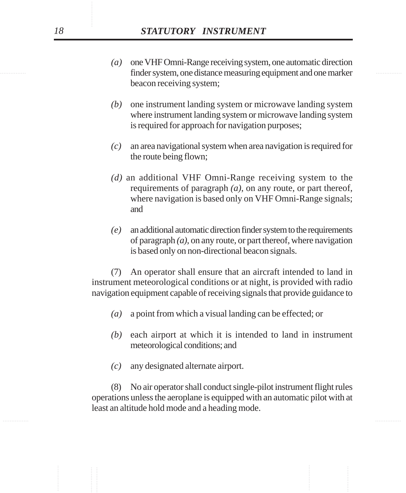- finder system, one distance measuring equipment and one marker *(a)* one VHF Omni-Range receiving system, one automatic direction beacon receiving system;
	- *(b)* one instrument landing system or microwave landing system where instrument landing system or microwave landing system is required for approach for navigation purposes;
	- *(c)* an area navigational system when area navigation is required for the route being flown;
	- *(d)* an additional VHF Omni-Range receiving system to the requirements of paragraph *(a)*, on any route, or part thereof, where navigation is based only on VHF Omni-Range signals; and
	- *(e)* an additional automatic direction finder system to the requirements of paragraph *(a)*, on any route, or part thereof, where navigation is based only on non-directional beacon signals.

(7) An operator shall ensure that an aircraft intended to land in instrument meteorological conditions or at night, is provided with radio navigation equipment capable of receiving signals that provide guidance to

- *(a)* a point from which a visual landing can be effected; or
- *(b)* each airport at which it is intended to land in instrument meteorological conditions; and
- *(c)* any designated alternate airport.

(8) No air operator shall conduct single-pilot instrument flight rules operations unless the aeroplane is equipped with an automatic pilot with at least an altitude hold mode and a heading mode.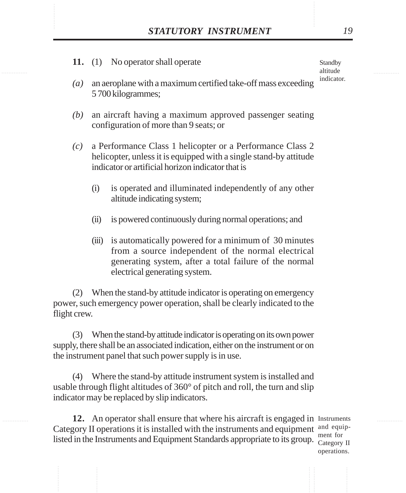**11.** (1) No operator shall operate

Standby altitude indicator.

- *(a)* an aeroplane with a maximum certified take-off mass exceeding 5 700 kilogrammes;
- *(b)* an aircraft having a maximum approved passenger seating configuration of more than 9 seats; or
- *(c)* a Performance Class 1 helicopter or a Performance Class 2 helicopter, unless it is equipped with a single stand-by attitude indicator or artificial horizon indicator that is
	- (i) is operated and illuminated independently of any other altitude indicating system;
	- (ii) is powered continuously during normal operations; and
	- (iii) is automatically powered for a minimum of 30 minutes from a source independent of the normal electrical generating system, after a total failure of the normal electrical generating system.

(2) When the stand-by attitude indicator is operating on emergency power, such emergency power operation, shall be clearly indicated to the flight crew.

(3) When the stand-by attitude indicator is operating on its own power supply, there shall be an associated indication, either on the instrument or on the instrument panel that such power supply is in use.

(4) Where the stand-by attitude instrument system is installed and usable through flight altitudes of 360° of pitch and roll, the turn and slip indicator may be replaced by slip indicators.

12. An operator shall ensure that where his aircraft is engaged in Instruments Category II operations it is installed with the instruments and equipment  $\frac{and\ equip}{and\ equip}$ listed in the Instruments and Equipment Standards appropriate to its group. ment for Category II

operations.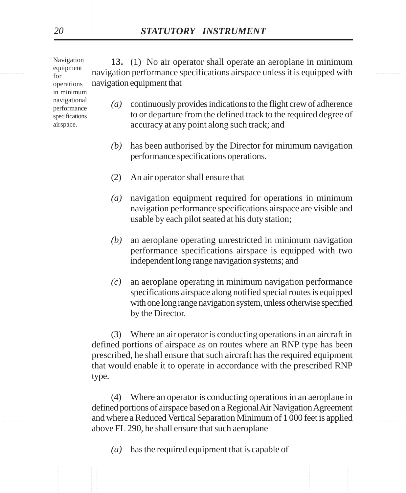represent the maxigation performance specifications airspace unless it is equipped with **13.** (1) No air operator shall operate an aeroplane in minimum navigation equipment that Navigation equipment operations in minimum

- *(a)* continuously provides indications to the flight crew of adherence to or departure from the defined track to the required degree of accuracy at any point along such track; and
- *(b)* has been authorised by the Director for minimum navigation performance specifications operations.
- (2) An air operator shall ensure that
- *(a)* navigation equipment required for operations in minimum navigation performance specifications airspace are visible and usable by each pilot seated at his duty station;
- *(b)* an aeroplane operating unrestricted in minimum navigation performance specifications airspace is equipped with two independent long range navigation systems; and
- *(c)* an aeroplane operating in minimum navigation performance specifications airspace along notified special routes is equipped with one long range navigation system, unless otherwise specified by the Director.

(3) Where an air operator is conducting operations in an aircraft in defined portions of airspace as on routes where an RNP type has been prescribed, he shall ensure that such aircraft has the required equipment that would enable it to operate in accordance with the prescribed RNP type.

............... ............... and where a Reduced Vertical Separation Minimum of 1 000 feet is applied (4) Where an operator is conducting operations in an aeroplane in defined portions of airspace based on a Regional Air Navigation Agreement above FL 290, he shall ensure that such aeroplane

*(a)* has the required equipment that is capable of

for

navigational performance specifications airspace.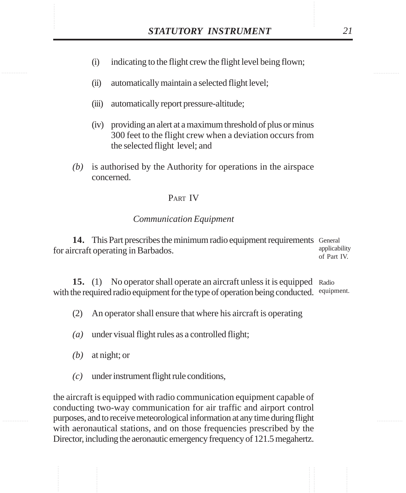- STATUTORY INSTRUMENT 21<br>(i) indicating to the flight crew the flight level being flown; (i) indicating to the flight crew the flight level being flown;
	- (ii) automatically maintain a selected flight level;
	- (iii) automatically report pressure-altitude;
	- (iv) providing an alert at a maximum threshold of plus or minus 300 feet to the flight crew when a deviation occurs from the selected flight level; and
	- *(b)* is authorised by the Authority for operations in the airspace concerned.

### PART IV

### *Communication Equipment*

14. This Part prescribes the minimum radio equipment requirements General for aircraft operating in Barbados. applicability of Part IV.

15. (1) No operator shall operate an aircraft unless it is equipped Radio with the required radio equipment for the type of operation being conducted. equipment.

- (2) An operator shall ensure that where his aircraft is operating
- *(a)* under visual flight rules as a controlled flight;
- *(b)* at night; or
- *(c)* under instrument flight rule conditions,

the aircraft is equipped with radio communication equipment capable of conducting two-way communication for air traffic and airport control purposes, and to receive meteorological information at any time during flight with aeronautical stations, and on those frequencies prescribed by the Director, including the aeronautic emergency frequency of 121.5 megahertz.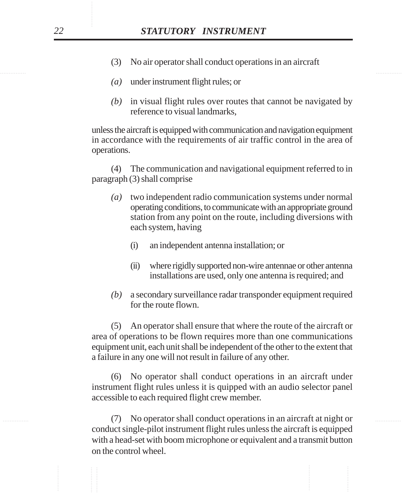- (3) No air operator shall conduct operations in an aircraft
- *(a)* under instrument flight rules; or
- *(b)* in visual flight rules over routes that cannot be navigated by reference to visual landmarks,

unless the aircraft is equipped with communication and navigation equipment in accordance with the requirements of air traffic control in the area of operations.

(4) The communication and navigational equipment referred to in paragraph (3) shall comprise

- *(a)* two independent radio communication systems under normal operating conditions, to communicate with an appropriate ground station from any point on the route, including diversions with each system, having
	- (i) an independent antenna installation; or
	- (ii) where rigidly supported non-wire antennae or other antenna installations are used, only one antenna is required; and
- *(b)* a secondary surveillance radar transponder equipment required for the route flown.

(5) An operator shall ensure that where the route of the aircraft or area of operations to be flown requires more than one communications equipment unit, each unit shall be independent of the other to the extent that a failure in any one will not result in failure of any other.

(6) No operator shall conduct operations in an aircraft under instrument flight rules unless it is quipped with an audio selector panel accessible to each required flight crew member.

............... ............... (7) No operator shall conduct operations in an aircraft at night or conduct single-pilot instrument flight rules unless the aircraft is equipped with a head-set with boom microphone or equivalent and a transmit button on the control wheel.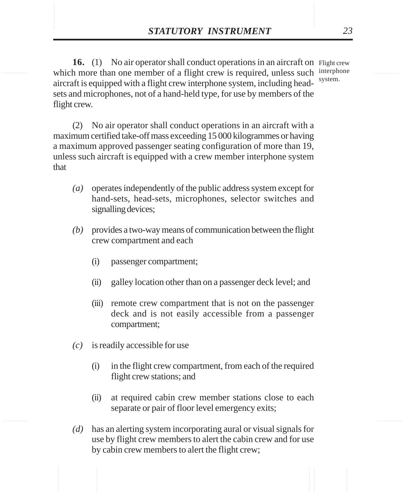**STATUTORY INSTRUMENT** 23<br> **16.** (1) No air operator shall conduct operations in an aircraft on Flight crew<br>
which more than one member of a flight crew is required, unless such interphone **16.** (1) No air operator shall conduct operations in an aircraft on Flight crew which more than one member of a flight crew is required, unless such interphone aircraft is equipped with a flight crew interphone system, including headsets and microphones, not of a hand-held type, for use by members of the flight crew.

system.

(2) No air operator shall conduct operations in an aircraft with a maximum certified take-off mass exceeding 15 000 kilogrammes or having a maximum approved passenger seating configuration of more than 19, unless such aircraft is equipped with a crew member interphone system that

- *(a)* operates independently of the public address system except for hand-sets, head-sets, microphones, selector switches and signalling devices;
- *(b)* provides a two-way means of communication between the flight crew compartment and each
	- (i) passenger compartment;
	- (ii) galley location other than on a passenger deck level; and
	- (iii) remote crew compartment that is not on the passenger deck and is not easily accessible from a passenger compartment;
- *(c)* is readily accessible for use
	- (i) in the flight crew compartment, from each of the required flight crew stations; and
	- (ii) at required cabin crew member stations close to each separate or pair of floor level emergency exits;
- *(d)* has an alerting system incorporating aural or visual signals for use by flight crew members to alert the cabin crew and for use by cabin crew members to alert the flight crew;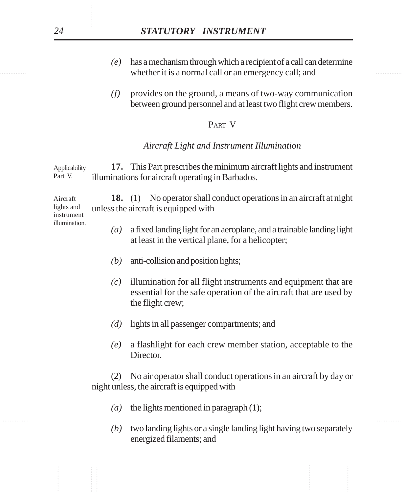- whether it is a normal call or an emergency call; and *(e)* has a mechanism through which a recipient of a call can determine
	- *(f)* provides on the ground, a means of two-way communication between ground personnel and at least two flight crew members.

### PART V

### *Aircraft Light and Instrument Illumination*

**17.** This Part prescribes the minimum aircraft lights and instrument illuminations for aircraft operating in Barbados. Applicability Part V.

**18.** (1) No operator shall conduct operations in an aircraft at night unless the aircraft is equipped with Aircraft lights and instrument

- *(a)* a fixed landing light for an aeroplane, and a trainable landing light at least in the vertical plane, for a helicopter;
- *(b)* anti-collision and position lights;
- *(c)* illumination for all flight instruments and equipment that are essential for the safe operation of the aircraft that are used by the flight crew;
- *(d)* lights in all passenger compartments; and
- *(e)* a flashlight for each crew member station, acceptable to the Director.

(2) No air operator shall conduct operations in an aircraft by day or night unless, the aircraft is equipped with

- *(a)* the lights mentioned in paragraph (1);
- *(b)* two landing lights or a single landing light having two separately energized filaments; and

illumination.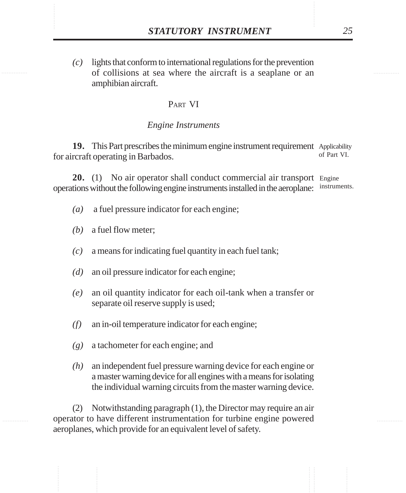**STATUTORY INSTRUMENT** 25<br>(c) lights that conform to international regulations for the prevention<br>of collisions at sea where the aircraft is a seaplane or an *(c)* lights that conform to international regulations for the prevention of collisions at sea where the aircraft is a seaplane or an amphibian aircraft.

### PART VI

### *Engine Instruments*

19. This Part prescribes the minimum engine instrument requirement Applicability for aircraft operating in Barbados. of Part VI.

20. (1) No air operator shall conduct commercial air transport Engine operations without the following engine instruments installed in the aeroplane: instruments.

- *(a)* a fuel pressure indicator for each engine;
- *(b)* a fuel flow meter;
- *(c)* a means for indicating fuel quantity in each fuel tank;
- *(d)* an oil pressure indicator for each engine;
- *(e)* an oil quantity indicator for each oil-tank when a transfer or separate oil reserve supply is used;
- *(f)* an in-oil temperature indicator for each engine;
- *(g)* a tachometer for each engine; and
- *(h)* an independent fuel pressure warning device for each engine or a master warning device for all engines with a means for isolating the individual warning circuits from the master warning device.

(2) Notwithstanding paragraph (1), the Director may require an air operator to have different instrumentation for turbine engine powered aeroplanes, which provide for an equivalent level of safety.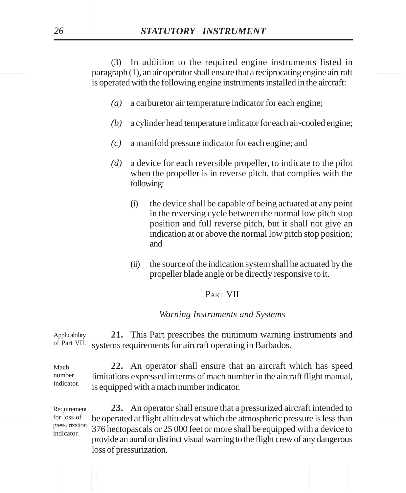exparagraph (1), an air operator shall ensure that a reciprocating engine aircraft (3) In addition to the required engine instruments listed in is operated with the following engine instruments installed in the aircraft:

- *(a)* a carburetor air temperature indicator for each engine;
- *(b)* a cylinder head temperature indicator for each air-cooled engine;
- *(c)* a manifold pressure indicator for each engine; and
- *(d)* a device for each reversible propeller, to indicate to the pilot when the propeller is in reverse pitch, that complies with the following:
	- (i) the device shall be capable of being actuated at any point in the reversing cycle between the normal low pitch stop position and full reverse pitch, but it shall not give an indication at or above the normal low pitch stop position; and
	- (ii) the source of the indication system shall be actuated by the propeller blade angle or be directly responsive to it.

### PART VII

### *Warning Instruments and Systems*

**21.** This Part prescribes the minimum warning instruments and systems requirements for aircraft operating in Barbados. Applicability of Part VII.

**22.** An operator shall ensure that an aircraft which has speed limitations expressed in terms of mach number in the aircraft flight manual, is equipped with a mach number indicator. Mach number indicator.

for loss of be operated at flight altitudes at which the atmospheric pressure is less than **23.** An operator shall ensure that a pressurized aircraft intended to 376 hectopascals or 25 000 feet or more shall be equipped with a device to provide an aural or distinct visual warning to the flight crew of any dangerous loss of pressurization. Requirement for loss of pressurization indicator.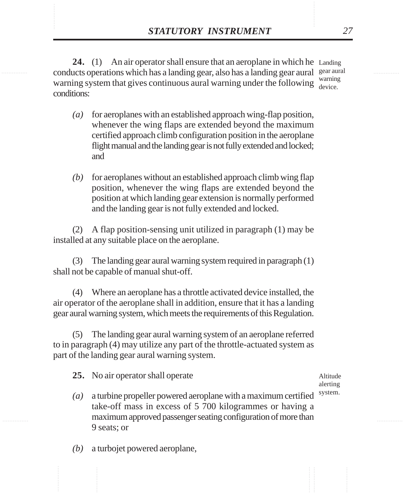**STATUTORY INSTRUMENT** 27<br>
24. (1) An air operator shall ensure that an aeroplane in which he Landing<br>
conducts operations which has a landing gear, also has a landing gear aural gear aural 24. (1) An air operator shall ensure that an aeroplane in which he Landing conducts operations which has a landing gear, also has a landing gear aural gear aural warning system that gives continuous aural warning under the following  $\frac{w_{\text{training}}}{\text{device}}$ conditions: device.

> *(a)* for aeroplanes with an established approach wing-flap position, whenever the wing flaps are extended beyond the maximum certified approach climb configuration position in the aeroplane flight manual and the landing gear is not fully extended and locked; and

> *(b)* for aeroplanes without an established approach climb wing flap position, whenever the wing flaps are extended beyond the position at which landing gear extension is normally performed and the landing gear is not fully extended and locked.

(2) A flap position-sensing unit utilized in paragraph (1) may be installed at any suitable place on the aeroplane.

(3) The landing gear aural warning system required in paragraph (1) shall not be capable of manual shut-off.

(4) Where an aeroplane has a throttle activated device installed, the air operator of the aeroplane shall in addition, ensure that it has a landing gear aural warning system, which meets the requirements of this Regulation.

(5) The landing gear aural warning system of an aeroplane referred to in paragraph (4) may utilize any part of the throttle-actuated system as part of the landing gear aural warning system.

**25.** No air operator shall operate

- *(a)* a turbine propeller powered aeroplane with a maximum certified take-off mass in excess of 5 700 kilogrammes or having a maximum approved passenger seating configuration of more than 9 seats; or system.
- *(b)* a turbojet powered aeroplane,

Altitude alerting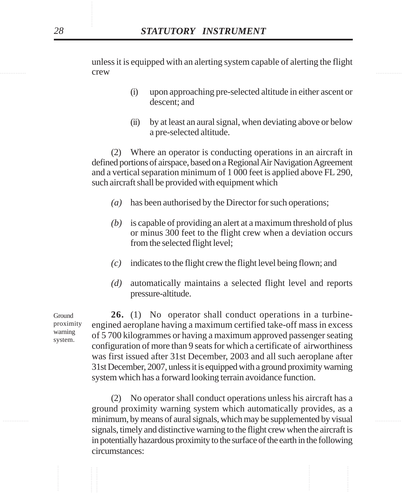**Example 12 Crew Crew Crew 2006** unless it is equipped with an alerting system capable of alerting the flight crew

- (i) upon approaching pre-selected altitude in either ascent or descent; and
- (ii) by at least an aural signal, when deviating above or below a pre-selected altitude.

(2) Where an operator is conducting operations in an aircraft in defined portions of airspace, based on a Regional Air Navigation Agreement and a vertical separation minimum of 1 000 feet is applied above FL 290, such aircraft shall be provided with equipment which

- *(a)* has been authorised by the Director for such operations;
- *(b)* is capable of providing an alert at a maximum threshold of plus or minus 300 feet to the flight crew when a deviation occurs from the selected flight level;
- *(c)* indicates to the flight crew the flight level being flown; and
- *(d)* automatically maintains a selected flight level and reports pressure-altitude.

Ground proximity warning system.

**26.** (1) No operator shall conduct operations in a turbineengined aeroplane having a maximum certified take-off mass in excess of 5 700 kilogrammes or having a maximum approved passenger seating configuration of more than 9 seats for which a certificate of airworthiness was first issued after 31st December, 2003 and all such aeroplane after 31st December, 2007, unless it is equipped with a ground proximity warning system which has a forward looking terrain avoidance function.

............... ............... minimum, by means of aural signals, which may be supplemented by visual (2) No operator shall conduct operations unless his aircraft has a ground proximity warning system which automatically provides, as a signals, timely and distinctive warning to the flight crew when the aircraft is in potentially hazardous proximity to the surface of the earth in the following circumstances: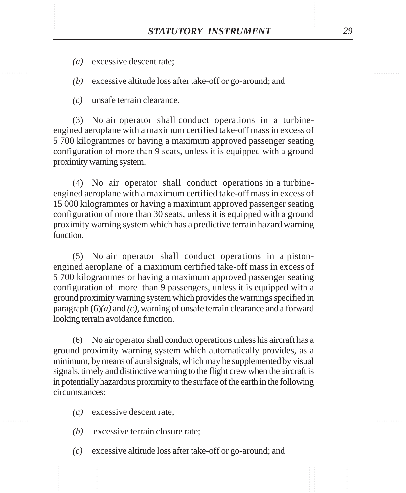*(a)* excessive descent rate;

*(b)* excessive altitude loss after take-off or go-around; and

*(c)* unsafe terrain clearance.

(3) No air operator shall conduct operations in a turbineengined aeroplane with a maximum certified take-off mass in excess of 5 700 kilogrammes or having a maximum approved passenger seating configuration of more than 9 seats, unless it is equipped with a ground proximity warning system.

(4) No air operator shall conduct operations in a turbineengined aeroplane with a maximum certified take-off mass in excess of 15 000 kilogrammes or having a maximum approved passenger seating configuration of more than 30 seats, unless it is equipped with a ground proximity warning system which has a predictive terrain hazard warning function.

(5) No air operator shall conduct operations in a pistonengined aeroplane of a maximum certified take-off mass in excess of 5 700 kilogrammes or having a maximum approved passenger seating configuration of more than 9 passengers, unless it is equipped with a ground proximity warning system which provides the warnings specified in paragraph (6)*(a)* and *(c)*, warning of unsafe terrain clearance and a forward looking terrain avoidance function.

(6) No air operator shall conduct operations unless his aircraft has a ground proximity warning system which automatically provides, as a minimum, by means of aural signals, which may be supplemented by visual signals, timely and distinctive warning to the flight crew when the aircraft is in potentially hazardous proximity to the surface of the earth in the following circumstances:

- *(a)* excessive descent rate;
- *(b)* excessive terrain closure rate;
- *(c)* excessive altitude loss after take-off or go-around; and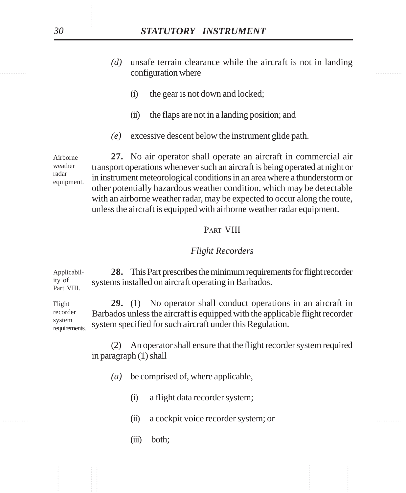- configuration where the configuration of the configuration where  $\sim$ *(d)* unsafe terrain clearance while the aircraft is not in landing
	- (i) the gear is not down and locked;
	- (ii) the flaps are not in a landing position; and
	- *(e)* excessive descent below the instrument glide path.

**27.** No air operator shall operate an aircraft in commercial air transport operations whenever such an aircraft is being operated at night or in instrument meteorological conditions in an area where a thunderstorm or other potentially hazardous weather condition, which may be detectable with an airborne weather radar, may be expected to occur along the route, unless the aircraft is equipped with airborne weather radar equipment. Airborne weather equipment.

### PART VIII

### *Flight Recorders*

**28.** This Part prescribes the minimum requirements for flight recorder systems installed on aircraft operating in Barbados. Applicability of Part VIII.

**29.** (1) No operator shall conduct operations in an aircraft in Barbados unless the aircraft is equipped with the applicable flight recorder system specified for such aircraft under this Regulation. Flight recorder system requirements.

> (2) An operator shall ensure that the flight recorder system required in paragraph (1) shall

- *(a)* be comprised of, where applicable,
	- (i) a flight data recorder system;
- ............... ............... (ii) a cockpit voice recorder system; or
	- (iii) both;

radar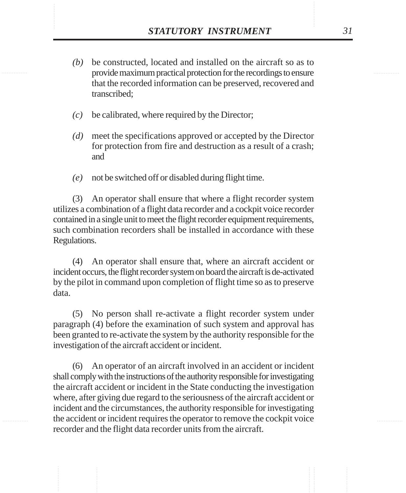- **STATUTORY INSTRUMENT** 31<br>(b) be constructed, located and installed on the aircraft so as to provide maximum practical protection for the recordings to ensure *(b)* be constructed, located and installed on the aircraft so as to provide maximum practical protection for the recordings to ensure that the recorded information can be preserved, recovered and transcribed;
	- *(c)* be calibrated, where required by the Director;
	- *(d)* meet the specifications approved or accepted by the Director for protection from fire and destruction as a result of a crash; and
	- *(e)* not be switched off or disabled during flight time.

(3) An operator shall ensure that where a flight recorder system utilizes a combination of a flight data recorder and a cockpit voice recorder contained in a single unit to meet the flight recorder equipment requirements, such combination recorders shall be installed in accordance with these Regulations.

(4) An operator shall ensure that, where an aircraft accident or incident occurs, the flight recorder system on board the aircraft is de-activated by the pilot in command upon completion of flight time so as to preserve data.

(5) No person shall re-activate a flight recorder system under paragraph (4) before the examination of such system and approval has been granted to re-activate the system by the authority responsible for the investigation of the aircraft accident or incident.

(6) An operator of an aircraft involved in an accident or incident shall comply with the instructions of the authority responsible for investigating the aircraft accident or incident in the State conducting the investigation where, after giving due regard to the seriousness of the aircraft accident or incident and the circumstances, the authority responsible for investigating the accident or incident requires the operator to remove the cockpit voice recorder and the flight data recorder units from the aircraft.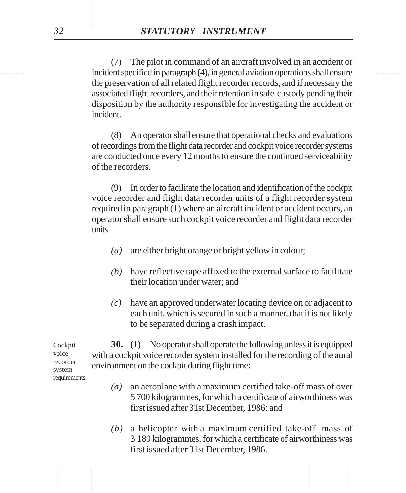incident specified in paragraph (4), in general aviation operations shall ensure (7) The pilot in command of an aircraft involved in an accident or the preservation of all related flight recorder records, and if necessary the associated flight recorders, and their retention in safe custody pending their disposition by the authority responsible for investigating the accident or incident.

> (8) An operator shall ensure that operational checks and evaluations of recordings from the flight data recorder and cockpit voice recorder systems are conducted once every 12 months to ensure the continued serviceability of the recorders.

> (9) In order to facilitate the location and identification of the cockpit voice recorder and flight data recorder units of a flight recorder system required in paragraph (1) where an aircraft incident or accident occurs, an operator shall ensure such cockpit voice recorder and flight data recorder units

- *(a)* are either bright orange or bright yellow in colour;
- *(b)* have reflective tape affixed to the external surface to facilitate their location under water; and
- *(c)* have an approved underwater locating device on or adjacent to each unit, which is secured in such a manner, that it is not likely to be separated during a crash impact.

**30.** (1) No operator shall operate the following unless it is equipped with a cockpit voice recorder system installed for the recording of the aural environment on the cockpit during flight time:

- *(a)* an aeroplane with a maximum certified take-off mass of over 5 700 kilogrammes, for which a certificate of airworthiness was first issued after 31st December, 1986; and
- *(b)* a helicopter with a maximum certified take-off mass of 3 180 kilogrammes, for which a certificate of airworthiness was first issued after 31st December, 1986.

Cockpit voice recorder system requirements.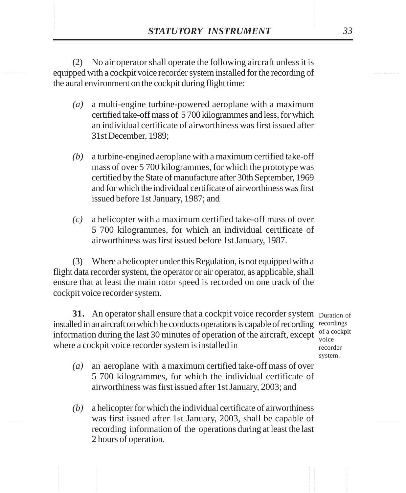**STATUTORY INSTRUMENT** 33<br>
(2) No air operator shall operate the following aircraft unless it is<br>
equipped with a cockpit voice recorder system installed for the recording of (2) No air operator shall operate the following aircraft unless it is equipped with a cockpit voice recorder system installed for the recording of the aural environment on the cockpit during flight time:

- *(a)* a multi-engine turbine-powered aeroplane with a maximum certified take-off mass of 5 700 kilogrammes and less, for which an individual certificate of airworthiness was first issued after 31st December, 1989;
- *(b)* a turbine-engined aeroplane with a maximum certified take-off mass of over 5 700 kilogrammes, for which the prototype was certified by the State of manufacture after 30th September, 1969 and for which the individual certificate of airworthiness was first issued before 1st January, 1987; and
- *(c)* a helicopter with a maximum certified take-off mass of over 5 700 kilogrammes, for which an individual certificate of airworthiness was first issued before 1st January, 1987.

(3) Where a helicopter under this Regulation, is not equipped with a flight data recorder system, the operator or air operator, as applicable, shall ensure that at least the main rotor speed is recorded on one track of the cockpit voice recorder system.

**31.** An operator shall ensure that a cockpit voice recorder system Duration of installed in an aircraft on which he conducts operations is capable of recording recordings information during the last 30 minutes of operation of the aircraft, except where a cockpit voice recorder system is installed in

of a cockpit voice recorder system.

- *(a)* an aeroplane with a maximum certified take-off mass of over 5 700 kilogrammes, for which the individual certificate of airworthiness was first issued after 1st January, 2003; and
- *(b)* a helicopter for which the individual certificate of airworthiness was first issued after 1st January, 2003, shall be capable of recording information of the operations during at least the last 2 hours of operation.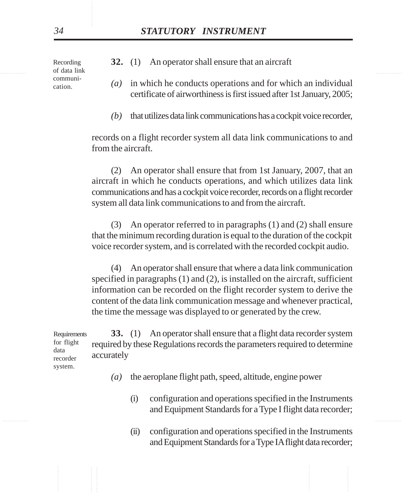............... ............... Recording of data link communication.

- **32.** (1) An operator shall ensure that an aircraft
- *(a)* in which he conducts operations and for which an individual certificate of airworthiness is first issued after 1st January, 2005;
- *(b)* that utilizes data link communications has a cockpit voice recorder,

records on a flight recorder system all data link communications to and from the aircraft.

(2) An operator shall ensure that from 1st January, 2007, that an aircraft in which he conducts operations, and which utilizes data link communications and has a cockpit voice recorder, records on a flight recorder system all data link communications to and from the aircraft.

(3) An operator referred to in paragraphs (1) and (2) shall ensure that the minimum recording duration is equal to the duration of the cockpit voice recorder system, and is correlated with the recorded cockpit audio.

(4) An operator shall ensure that where a data link communication specified in paragraphs (1) and (2), is installed on the aircraft, sufficient information can be recorded on the flight recorder system to derive the content of the data link communication message and whenever practical, the time the message was displayed to or generated by the crew.

**33.** (1) An operator shall ensure that a flight data recorder system required by these Regulations records the parameters required to determine accurately Requirements for flight data recorder system.

- *(a)* the aeroplane flight path, speed, altitude, engine power
	- (i) configuration and operations specified in the Instruments and Equipment Standards for a Type I flight data recorder;
	- (ii) configuration and operations specified in the Instruments and Equipment Standards for a Type IA flight data recorder;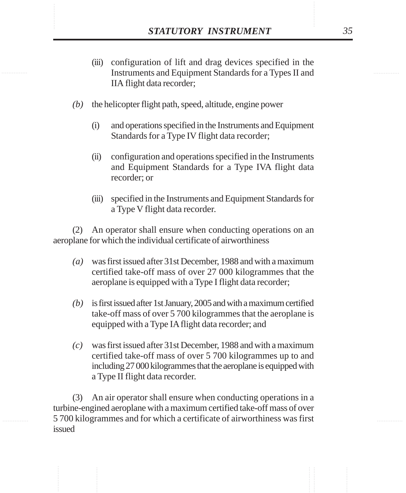- **STATUTORY INSTRUMENT** 35<br>
(iii) configuration of lift and drag devices specified in the<br>
Instruments and Equipment Standards for a Types II and (iii) configuration of lift and drag devices specified in the Instruments and Equipment Standards for a Types II and IIA flight data recorder;
	- *(b)* the helicopter flight path, speed, altitude, engine power
		- (i) and operations specified in the Instruments and Equipment Standards for a Type IV flight data recorder;
		- (ii) configuration and operations specified in the Instruments and Equipment Standards for a Type IVA flight data recorder; or
		- (iii) specified in the Instruments and Equipment Standards for a Type V flight data recorder.

(2) An operator shall ensure when conducting operations on an aeroplane for which the individual certificate of airworthiness

- *(a)* was first issued after 31st December, 1988 and with a maximum certified take-off mass of over 27 000 kilogrammes that the aeroplane is equipped with a Type I flight data recorder;
- *(b)* is first issued after 1st January, 2005 and with a maximum certified take-off mass of over 5 700 kilogrammes that the aeroplane is equipped with a Type IA flight data recorder; and
- *(c)* was first issued after 31st December, 1988 and with a maximum certified take-off mass of over 5 700 kilogrammes up to and including 27 000 kilogrammes that the aeroplane is equipped with a Type II flight data recorder.

(3) An air operator shall ensure when conducting operations in a turbine-engined aeroplane with a maximum certified take-off mass of over 5 700 kilogrammes and for which a certificate of airworthiness was first issued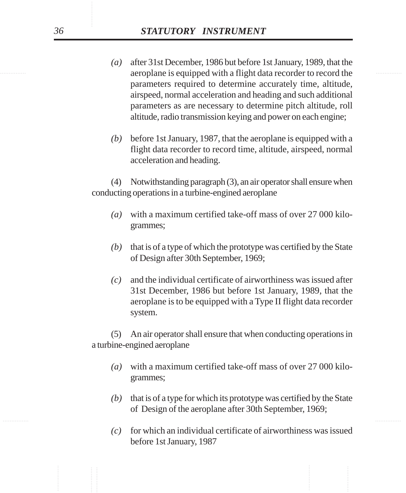- examples are replane is equipped with a flight data recorder to record the *(a)* after 31st December, 1986 but before 1st January, 1989, that the parameters required to determine accurately time, altitude, airspeed, normal acceleration and heading and such additional parameters as are necessary to determine pitch altitude, roll altitude, radio transmission keying and power on each engine;
	- *(b)* before 1st January, 1987, that the aeroplane is equipped with a flight data recorder to record time, altitude, airspeed, normal acceleration and heading.

(4) Notwithstanding paragraph (3), an air operator shall ensure when conducting operations in a turbine-engined aeroplane

- *(a)* with a maximum certified take-off mass of over 27 000 kilogrammes;
- *(b)* that is of a type of which the prototype was certified by the State of Design after 30th September, 1969;
- *(c)* and the individual certificate of airworthiness was issued after 31st December, 1986 but before 1st January, 1989, that the aeroplane is to be equipped with a Type II flight data recorder system.

(5) An air operator shall ensure that when conducting operations in a turbine-engined aeroplane

- *(a)* with a maximum certified take-off mass of over 27 000 kilogrammes;
- *(b)* that is of a type for which its prototype was certified by the State of Design of the aeroplane after 30th September, 1969;
- *(c)* for which an individual certificate of airworthiness was issued before 1st January, 1987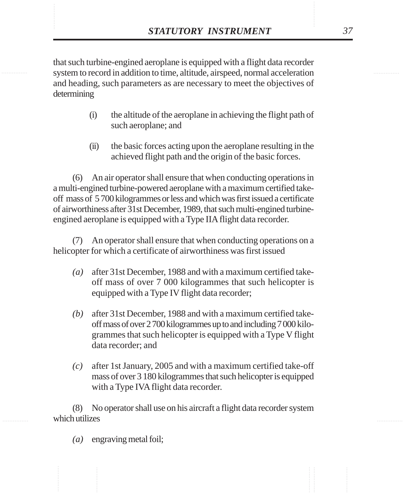**STATUTORY INSTRUMENT** 37<br>that such turbine-engined aeroplane is equipped with a flight data recorder<br>system to record in addition to time. altitude. airspeed. normal acceleration that such turbine-engined aeroplane is equipped with a flight data recorder system to record in addition to time, altitude, airspeed, normal acceleration and heading, such parameters as are necessary to meet the objectives of determining

- (i) the altitude of the aeroplane in achieving the flight path of such aeroplane; and
- (ii) the basic forces acting upon the aeroplane resulting in the achieved flight path and the origin of the basic forces.

(6) An air operator shall ensure that when conducting operations in a multi-engined turbine-powered aeroplane with a maximum certified takeoff mass of 5 700 kilogrammes or less and which was first issued a certificate of airworthiness after 31st December, 1989, that such multi-engined turbineengined aeroplane is equipped with a Type IIA flight data recorder.

(7) An operator shall ensure that when conducting operations on a helicopter for which a certificate of airworthiness was first issued

- *(a)* after 31st December, 1988 and with a maximum certified takeoff mass of over 7 000 kilogrammes that such helicopter is equipped with a Type IV flight data recorder;
- *(b)* after 31st December, 1988 and with a maximum certified takeoff mass of over 2 700 kilogrammes up to and including 7 000 kilogrammes that such helicopter is equipped with a Type V flight data recorder; and
- *(c)* after 1st January, 2005 and with a maximum certified take-off mass of over 3 180 kilogrammes that such helicopter is equipped with a Type IVA flight data recorder.

(8) No operator shall use on his aircraft a flight data recorder system which utilizes

*(a)* engraving metal foil;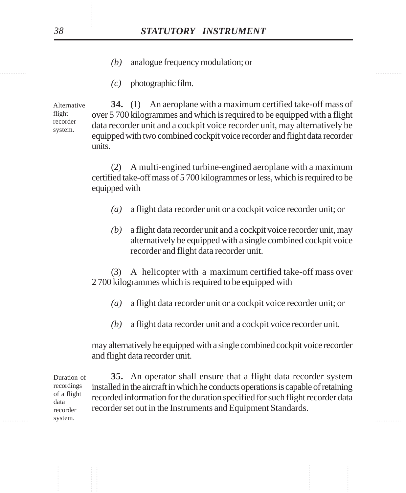- *(b)* analogue frequency modulation; or
- *(c)* photographic film.

**34.** (1) An aeroplane with a maximum certified take-off mass of over 5 700 kilogrammes and which is required to be equipped with a flight data recorder unit and a cockpit voice recorder unit, may alternatively be equipped with two combined cockpit voice recorder and flight data recorder units. Alternative flight recorder system.

> (2) A multi-engined turbine-engined aeroplane with a maximum certified take-off mass of 5 700 kilogrammes or less, which is required to be equipped with

- *(a)* a flight data recorder unit or a cockpit voice recorder unit; or
- *(b)* a flight data recorder unit and a cockpit voice recorder unit, may alternatively be equipped with a single combined cockpit voice recorder and flight data recorder unit.

(3) A helicopter with a maximum certified take-off mass over 2 700 kilogrammes which is required to be equipped with

- *(a)* a flight data recorder unit or a cockpit voice recorder unit; or
- *(b)* a flight data recorder unit and a cockpit voice recorder unit,

may alternatively be equipped with a single combined cockpit voice recorder and flight data recorder unit.

**Existen. System. System. System. System.** *By All the System of All the System.* **<b>***By All the System. By All the System.* **<b>***By All the System. By All the System. By All the System.* **<b>***By All the Syste* **35.** An operator shall ensure that a flight data recorder system installed in the aircraft in which he conducts operations is capable of retaining recorded information for the duration specified for such flight recorder data recorder set out in the Instruments and Equipment Standards. Duration of recordings of a flight data recorder system.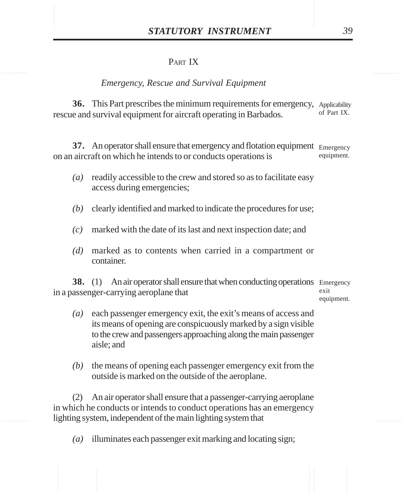# PART IX

### *Emergency, Rescue and Survival Equipment*

**36.** This Part prescribes the minimum requirements for emergency, Applicability rescue and survival equipment for aircraft operating in Barbados. of Part IX.

**37.** An operator shall ensure that emergency and flotation equipment Emergency on an aircraft on which he intends to or conducts operations is equipment.

- *(a)* readily accessible to the crew and stored so as to facilitate easy access during emergencies;
- *(b)* clearly identified and marked to indicate the procedures for use;
- *(c)* marked with the date of its last and next inspection date; and
- *(d)* marked as to contents when carried in a compartment or container.

**38.** (1) An air operator shall ensure that when conducting operations Emergency in a passenger-carrying aeroplane that exit equipment.

- *(a)* each passenger emergency exit, the exit's means of access and its means of opening are conspicuously marked by a sign visible to the crew and passengers approaching along the main passenger aisle; and
- *(b)* the means of opening each passenger emergency exit from the outside is marked on the outside of the aeroplane.

(2) An air operator shall ensure that a passenger-carrying aeroplane in which he conducts or intends to conduct operations has an emergency lighting system, independent of the main lighting system that

*(a)* illuminates each passenger exit marking and locating sign;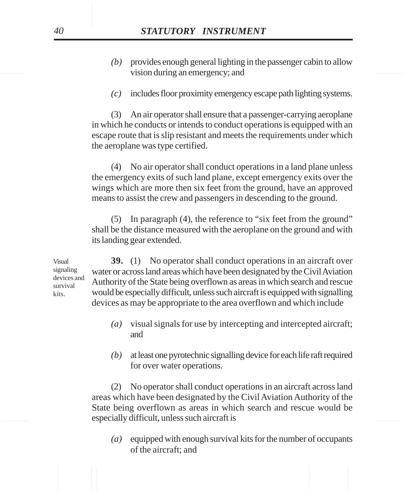- vision during an emergency; and *(b)* provides enough general lighting in the passenger cabin to allow
	- *(c)* includes floor proximity emergency escape path lighting systems.

(3) An air operator shall ensure that a passenger-carrying aeroplane in which he conducts or intends to conduct operations is equipped with an escape route that is slip resistant and meets the requirements under which the aeroplane was type certified.

(4) No air operator shall conduct operations in a land plane unless the emergency exits of such land plane, except emergency exits over the wings which are more then six feet from the ground, have an approved means to assist the crew and passengers in descending to the ground.

(5) In paragraph (4), the reference to "six feet from the ground" shall be the distance measured with the aeroplane on the ground and with its landing gear extended.

**39.** (1) No operator shall conduct operations in an aircraft over water or across land areas which have been designated by the Civil Aviation Authority of the State being overflown as areas in which search and rescue would be especially difficult, unless such aircraft is equipped with signalling devices as may be appropriate to the area overflown and which include Visual signaling devices and survival kits.

- *(a)* visual signals for use by intercepting and intercepted aircraft; and
- *(b)* at least one pyrotechnic signalling device for each life raft required for over water operations.

**Exercise 1 Assembly difficult, unless such aircraft is Exercise 2.1 Assembly difficult** (2) No operator shall conduct operations in an aircraft across land areas which have been designated by the Civil Aviation Authority of the State being overflown as areas in which search and rescue would be

> *(a)* equipped with enough survival kits for the number of occupants of the aircraft; and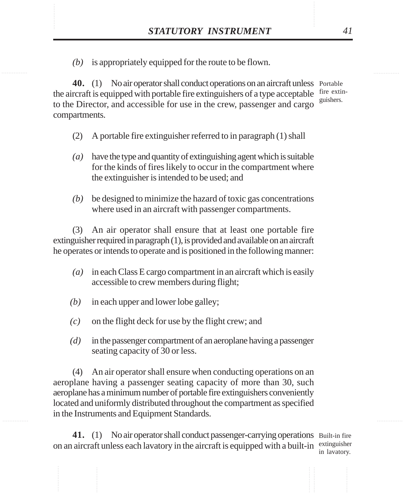STATUTORY INSTRUMENT 41<br>(b) is appropriately equipped for the route to be flown. *(b)* is appropriately equipped for the route to be flown.

> **40.** (1) No air operator shall conduct operations on an aircraft unless Portable the aircraft is equipped with portable fire extinguishers of a type acceptable fire extinto the Director, and accessible for use in the crew, passenger and cargo compartments. guishers.

- (2) A portable fire extinguisher referred to in paragraph (1) shall
- *(a)* have the type and quantity of extinguishing agent which is suitable for the kinds of fires likely to occur in the compartment where the extinguisher is intended to be used; and
- *(b)* be designed to minimize the hazard of toxic gas concentrations where used in an aircraft with passenger compartments.

(3) An air operator shall ensure that at least one portable fire extinguisher required in paragraph (1), is provided and available on an aircraft he operates or intends to operate and is positioned in the following manner:

- *(a)* in each Class E cargo compartment in an aircraft which is easily accessible to crew members during flight;
- *(b)* in each upper and lower lobe galley;
- *(c)* on the flight deck for use by the flight crew; and
- *(d)* in the passenger compartment of an aeroplane having a passenger seating capacity of 30 or less.

(4) An air operator shall ensure when conducting operations on an aeroplane having a passenger seating capacity of more than 30, such aeroplane has a minimum number of portable fire extinguishers conveniently located and uniformly distributed throughout the compartment as specified in the Instruments and Equipment Standards.

41. (1) No air operator shall conduct passenger-carrying operations Built-in fire on an aircraft unless each lavatory in the aircraft is equipped with a built-in extinguisher

in lavatory.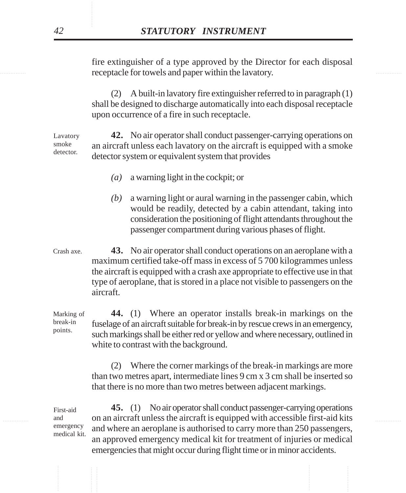receptacle for towels and paper within the lavatory. fire extinguisher of a type approved by the Director for each disposal

> (2) A built-in lavatory fire extinguisher referred to in paragraph (1) shall be designed to discharge automatically into each disposal receptacle upon occurrence of a fire in such receptacle.

**42.** No air operator shall conduct passenger-carrying operations on an aircraft unless each lavatory on the aircraft is equipped with a smoke detector system or equivalent system that provides Lavatory smoke detector.

- *(a)* a warning light in the cockpit; or
- *(b)* a warning light or aural warning in the passenger cabin, which would be readily, detected by a cabin attendant, taking into consideration the positioning of flight attendants throughout the passenger compartment during various phases of flight.
- **43.** No air operator shall conduct operations on an aeroplane with a maximum certified take-off mass in excess of 5 700 kilogrammes unless the aircraft is equipped with a crash axe appropriate to effective use in that type of aeroplane, that is stored in a place not visible to passengers on the aircraft. Crash axe.

**44.** (1) Where an operator installs break-in markings on the fuselage of an aircraft suitable for break-in by rescue crews in an emergency, such markings shall be either red or yellow and where necessary, outlined in white to contrast with the background. Marking of break-in points.

> (2) Where the corner markings of the break-in markings are more than two metres apart, intermediate lines 9 cm x 3 cm shall be inserted so that there is no more than two metres between adjacent markings.

............... ............... on an aircraft unless the aircraft is equipped with accessible first-aid kits **45.** (1) No air operator shall conduct passenger-carrying operations and where an aeroplane is authorised to carry more than 250 passengers, an approved emergency medical kit for treatment of injuries or medical emergencies that might occur during flight time or in minor accidents. emergency medical kit.

First-aid and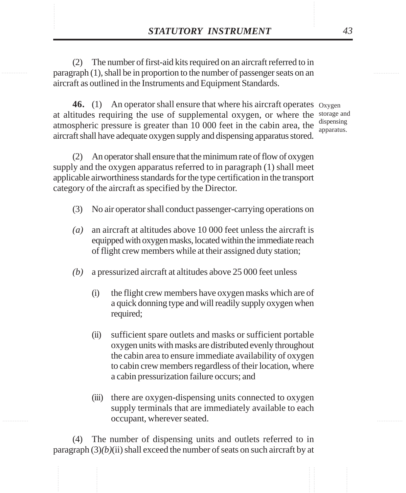**STATUTORY INSTRUMENT** 43<br>(2) The number of first-aid kits required on an aircraft referred to in<br>paragraph (1). shall be in proportion to the number of passenger seats on an (2) The number of first-aid kits required on an aircraft referred to in paragraph (1), shall be in proportion to the number of passenger seats on an aircraft as outlined in the Instruments and Equipment Standards.

> 46. (1) An operator shall ensure that where his aircraft operates oxygen at altitudes requiring the use of supplemental oxygen, or where the storage and atmospheric pressure is greater than  $10\,000$  feet in the cabin area, the  $\frac{\text{dispensing}}{\text{apparsing}}$ aircraft shall have adequate oxygen supply and dispensing apparatus stored.

apparatus.

(2) An operator shall ensure that the minimum rate of flow of oxygen supply and the oxygen apparatus referred to in paragraph (1) shall meet applicable airworthiness standards for the type certification in the transport category of the aircraft as specified by the Director.

- (3) No air operator shall conduct passenger-carrying operations on
- *(a)* an aircraft at altitudes above 10 000 feet unless the aircraft is equipped with oxygen masks, located within the immediate reach of flight crew members while at their assigned duty station;
- *(b)* a pressurized aircraft at altitudes above 25 000 feet unless
	- (i) the flight crew members have oxygen masks which are of a quick donning type and will readily supply oxygen when required;
	- (ii) sufficient spare outlets and masks or sufficient portable oxygen units with masks are distributed evenly throughout the cabin area to ensure immediate availability of oxygen to cabin crew members regardless of their location, where a cabin pressurization failure occurs; and
	- (iii) there are oxygen-dispensing units connected to oxygen supply terminals that are immediately available to each occupant, wherever seated.

(4) The number of dispensing units and outlets referred to in paragraph (3)*(b)*(ii) shall exceed the number of seats on such aircraft by at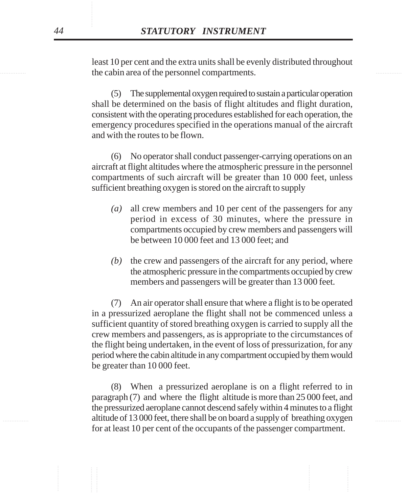the cabin area of the personnel compartments. least 10 per cent and the extra units shall be evenly distributed throughout

> (5) The supplemental oxygen required to sustain a particular operation shall be determined on the basis of flight altitudes and flight duration, consistent with the operating procedures established for each operation, the emergency procedures specified in the operations manual of the aircraft and with the routes to be flown.

> (6) No operator shall conduct passenger-carrying operations on an aircraft at flight altitudes where the atmospheric pressure in the personnel compartments of such aircraft will be greater than 10 000 feet, unless sufficient breathing oxygen is stored on the aircraft to supply

- *(a)* all crew members and 10 per cent of the passengers for any period in excess of 30 minutes, where the pressure in compartments occupied by crew members and passengers will be between 10 000 feet and 13 000 feet; and
- *(b)* the crew and passengers of the aircraft for any period, where the atmospheric pressure in the compartments occupied by crew members and passengers will be greater than 13 000 feet.

(7) An air operator shall ensure that where a flight is to be operated in a pressurized aeroplane the flight shall not be commenced unless a sufficient quantity of stored breathing oxygen is carried to supply all the crew members and passengers, as is appropriate to the circumstances of the flight being undertaken, in the event of loss of pressurization, for any period where the cabin altitude in any compartment occupied by them would be greater than 10 000 feet.

............... ............... altitude of 13 000 feet, there shall be on board a supply of breathing oxygen (8) When a pressurized aeroplane is on a flight referred to in paragraph (7) and where the flight altitude is more than 25 000 feet, and the pressurized aeroplane cannot descend safely within 4 minutes to a flight for at least 10 per cent of the occupants of the passenger compartment.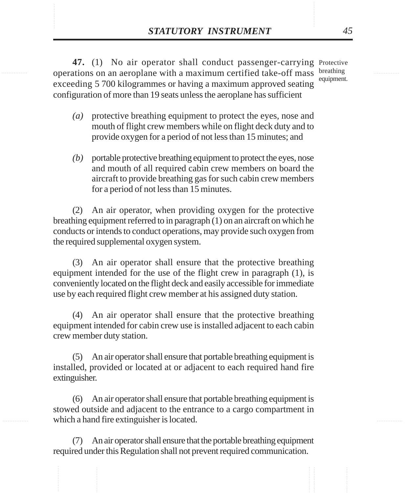**STATUTORY INSTRUMENT** 45<br>47. (1) No air operator shall conduct passenger-carrying Protective<br>operations on an aeroplane with a maximum certified take-off mass breathing 47. (1) No air operator shall conduct passenger-carrying Protective operations on an aeroplane with a maximum certified take-off mass breathing exceeding 5 700 kilogrammes or having a maximum approved seating configuration of more than 19 seats unless the aeroplane has sufficient equipment.

- *(a)* protective breathing equipment to protect the eyes, nose and mouth of flight crew members while on flight deck duty and to provide oxygen for a period of not less than 15 minutes; and
- *(b)* portable protective breathing equipment to protect the eyes, nose and mouth of all required cabin crew members on board the aircraft to provide breathing gas for such cabin crew members for a period of not less than 15 minutes.

(2) An air operator, when providing oxygen for the protective breathing equipment referred to in paragraph (1) on an aircraft on which he conducts or intends to conduct operations, may provide such oxygen from the required supplemental oxygen system.

(3) An air operator shall ensure that the protective breathing equipment intended for the use of the flight crew in paragraph (1), is conveniently located on the flight deck and easily accessible for immediate use by each required flight crew member at his assigned duty station.

(4) An air operator shall ensure that the protective breathing equipment intended for cabin crew use is installed adjacent to each cabin crew member duty station.

(5) An air operator shall ensure that portable breathing equipment is installed, provided or located at or adjacent to each required hand fire extinguisher.

(6) An air operator shall ensure that portable breathing equipment is stowed outside and adjacent to the entrance to a cargo compartment in which a hand fire extinguisher is located.

(7) An air operator shall ensure that the portable breathing equipment required under this Regulation shall not prevent required communication.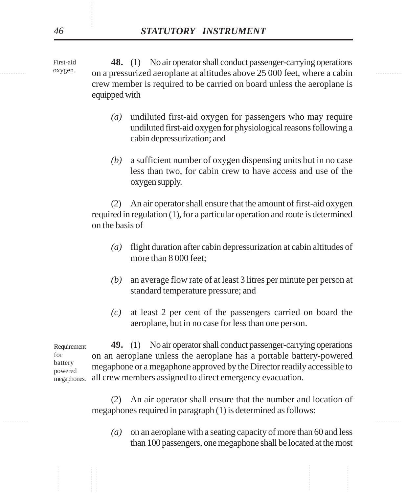oxygen. on a pressurized aeroplane at altitudes above 25 000 feet, where a cabin **48.** (1) No air operator shall conduct passenger-carrying operations crew member is required to be carried on board unless the aeroplane is equipped with

- *(a)* undiluted first-aid oxygen for passengers who may require undiluted first-aid oxygen for physiological reasons following a cabin depressurization; and
- *(b)* a sufficient number of oxygen dispensing units but in no case less than two, for cabin crew to have access and use of the oxygen supply.

(2) An air operator shall ensure that the amount of first-aid oxygen required in regulation (1), for a particular operation and route is determined on the basis of

- *(a)* flight duration after cabin depressurization at cabin altitudes of more than 8 000 feet;
- *(b)* an average flow rate of at least 3 litres per minute per person at standard temperature pressure; and
- *(c)* at least 2 per cent of the passengers carried on board the aeroplane, but in no case for less than one person.

**49.** (1) No air operator shall conduct passenger-carrying operations on an aeroplane unless the aeroplane has a portable battery-powered megaphone or a megaphone approved by the Director readily accessible to all crew members assigned to direct emergency evacuation. Requirement for battery powered megaphones.

> (2) An air operator shall ensure that the number and location of megaphones required in paragraph (1) is determined as follows:

*(a)* on an aeroplane with a seating capacity of more than 60 and less than 100 passengers, one megaphone shall be located at the most

First-aid oxygen.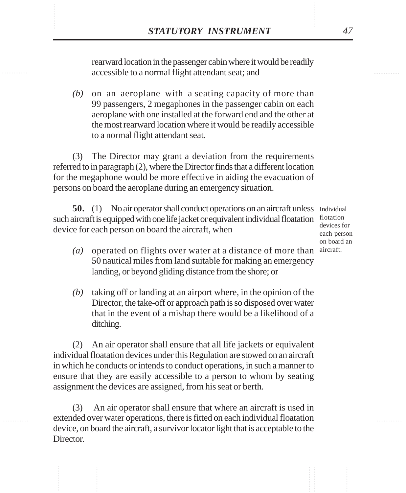**STATUTORY INSTRUMENT** 47<br>
rearward location in the passenger cabin where it would be readily<br>
accessible to a normal flight attendant seat: and rearward location in the passenger cabin where it would be readily accessible to a normal flight attendant seat; and

> *(b)* on an aeroplane with a seating capacity of more than 99 passengers, 2 megaphones in the passenger cabin on each aeroplane with one installed at the forward end and the other at the most rearward location where it would be readily accessible to a normal flight attendant seat.

(3) The Director may grant a deviation from the requirements referred to in paragraph (2), where the Director finds that a different location for the megaphone would be more effective in aiding the evacuation of persons on board the aeroplane during an emergency situation.

**50.** (1) No air operator shall conduct operations on an aircraft unless Individual such aircraft is equipped with one life jacket or equivalent individual floatation flotation device for each person on board the aircraft, when

devices for each person on board an

- *(a)* operated on flights over water at a distance of more than aircraft.50 nautical miles from land suitable for making an emergency landing, or beyond gliding distance from the shore; or
- *(b)* taking off or landing at an airport where, in the opinion of the Director, the take-off or approach path is so disposed over water that in the event of a mishap there would be a likelihood of a ditching.

(2) An air operator shall ensure that all life jackets or equivalent individual floatation devices under this Regulation are stowed on an aircraft in which he conducts or intends to conduct operations, in such a manner to ensure that they are easily accessible to a person to whom by seating assignment the devices are assigned, from his seat or berth.

(3) An air operator shall ensure that where an aircraft is used in extended over water operations, there is fitted on each individual floatation device, on board the aircraft, a survivor locator light that is acceptable to the Director.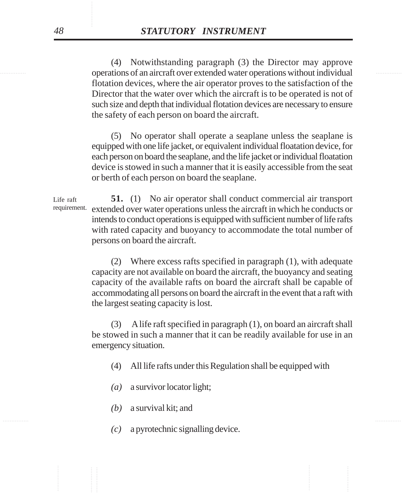............... ............... operations of an aircraft over extended water operations without individual (4) Notwithstanding paragraph (3) the Director may approve flotation devices, where the air operator proves to the satisfaction of the Director that the water over which the aircraft is to be operated is not of such size and depth that individual flotation devices are necessary to ensure the safety of each person on board the aircraft.

> (5) No operator shall operate a seaplane unless the seaplane is equipped with one life jacket, or equivalent individual floatation device, for each person on board the seaplane, and the life jacket or individual floatation device is stowed in such a manner that it is easily accessible from the seat or berth of each person on board the seaplane.

**51.** (1) No air operator shall conduct commercial air transport extended over water operations unless the aircraft in which he conducts or intends to conduct operations is equipped with sufficient number of life rafts with rated capacity and buoyancy to accommodate the total number of persons on board the aircraft. Life raft requirement.

> (2) Where excess rafts specified in paragraph (1), with adequate capacity are not available on board the aircraft, the buoyancy and seating capacity of the available rafts on board the aircraft shall be capable of accommodating all persons on board the aircraft in the event that a raft with the largest seating capacity is lost.

> (3) A life raft specified in paragraph (1), on board an aircraft shall be stowed in such a manner that it can be readily available for use in an emergency situation.

- (4) All life rafts under this Regulation shall be equipped with
- *(a)* a survivor locator light;
- *(b)* a survival kit; and
- *(c)* a pyrotechnic signalling device.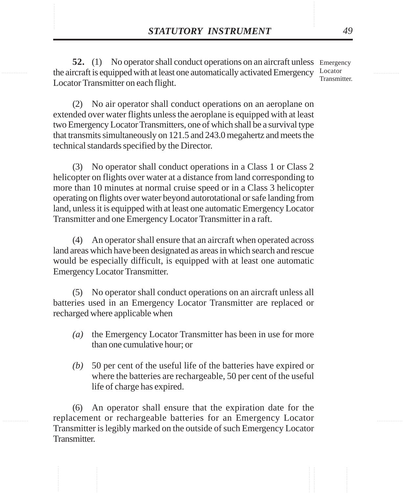**STATUTORY INSTRUMENT** 49<br>52. (1) No operator shall conduct operations on an aircraft unless Emergency<br>the aircraft is equipped with at least one automatically activated Emergency Locator 52. (1) No operator shall conduct operations on an aircraft unless Emergency the aircraft is equipped with at least one automatically activated Emergency Locator Locator Transmitter on each flight. Transmitter.

> (2) No air operator shall conduct operations on an aeroplane on extended over water flights unless the aeroplane is equipped with at least two Emergency Locator Transmitters, one of which shall be a survival type that transmits simultaneously on 121.5 and 243.0 megahertz and meets the technical standards specified by the Director.

> (3) No operator shall conduct operations in a Class 1 or Class 2 helicopter on flights over water at a distance from land corresponding to more than 10 minutes at normal cruise speed or in a Class 3 helicopter operating on flights over water beyond autorotational or safe landing from land, unless it is equipped with at least one automatic Emergency Locator Transmitter and one Emergency Locator Transmitter in a raft.

> (4) An operator shall ensure that an aircraft when operated across land areas which have been designated as areas in which search and rescue would be especially difficult, is equipped with at least one automatic Emergency Locator Transmitter.

> (5) No operator shall conduct operations on an aircraft unless all batteries used in an Emergency Locator Transmitter are replaced or recharged where applicable when

- *(a)* the Emergency Locator Transmitter has been in use for more than one cumulative hour; or
- *(b)* 50 per cent of the useful life of the batteries have expired or where the batteries are rechargeable, 50 per cent of the useful life of charge has expired.

(6) An operator shall ensure that the expiration date for the replacement or rechargeable batteries for an Emergency Locator Transmitter is legibly marked on the outside of such Emergency Locator Transmitter.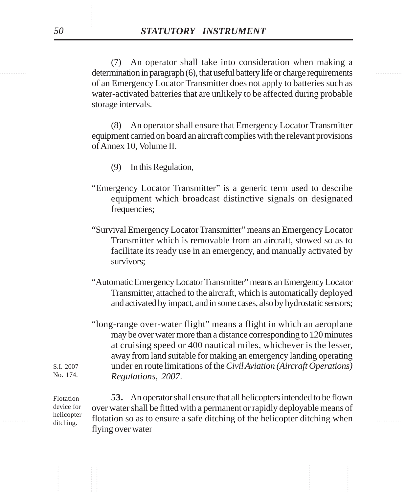determination in paragraph (6), that useful battery life or charge requirements (7) An operator shall take into consideration when making a of an Emergency Locator Transmitter does not apply to batteries such as water-activated batteries that are unlikely to be affected during probable storage intervals.

> (8) An operator shall ensure that Emergency Locator Transmitter equipment carried on board an aircraft complies with the relevant provisions of Annex 10, Volume II.

- (9) In this Regulation,
- "Emergency Locator Transmitter" is a generic term used to describe equipment which broadcast distinctive signals on designated frequencies;
- "Survival Emergency Locator Transmitter" means an Emergency Locator Transmitter which is removable from an aircraft, stowed so as to facilitate its ready use in an emergency, and manually activated by survivors;
- "Automatic Emergency Locator Transmitter" means an Emergency Locator Transmitter, attached to the aircraft, which is automatically deployed and activated by impact, and in some cases, also by hydrostatic sensors;
- "long-range over-water flight" means a flight in which an aeroplane may be over water more than a distance corresponding to 120 minutes at cruising speed or 400 nautical miles, whichever is the lesser, away from land suitable for making an emergency landing operating under en route limitations of the *Civil Aviation (Aircraft Operations) Regulations, 2007*.

 $\frac{\text{nercopler}}{\text{ditching}}$  flotation so as to ensure a safe ditching of the helicopter ditching when **53.** An operator shall ensure that all helicopters intended to be flown over water shall be fitted with a permanent or rapidly deployable means of flying over water Flotation device for helicopter ditching.

S.I. 2007 No. 174.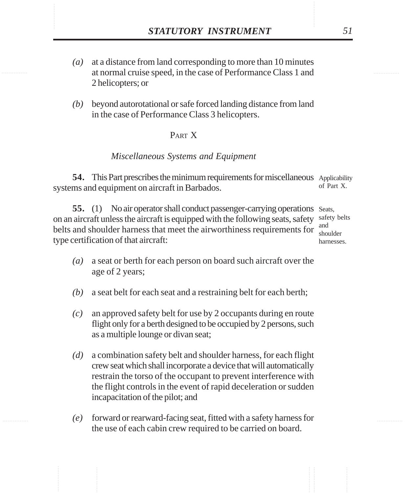- **STATUTORY INSTRUMENT** 51<br>(a) at a distance from land corresponding to more than 10 minutes<br>at normal cruise speed. in the case of Performance Class 1 and *(a)* at a distance from land corresponding to more than 10 minutes at normal cruise speed, in the case of Performance Class 1 and 2 helicopters; or
	- *(b)* beyond autorotational or safe forced landing distance from land in the case of Performance Class 3 helicopters.

### PART X

### *Miscellaneous Systems and Equipment*

**54.** This Part prescribes the minimum requirements for miscellaneous Applicability systems and equipment on aircraft in Barbados. of Part X.

55. (1) No air operator shall conduct passenger-carrying operations Seats, on an aircraft unless the aircraft is equipped with the following seats, safety safety belts belts and shoulder harness that meet the airworthiness requirements for  $\frac{1}{200}$ type certification of that aircraft:

shoulder harnesses.

- *(a)* a seat or berth for each person on board such aircraft over the age of 2 years;
- *(b)* a seat belt for each seat and a restraining belt for each berth;
- *(c)* an approved safety belt for use by 2 occupants during en route flight only for a berth designed to be occupied by 2 persons, such as a multiple lounge or divan seat;
- *(d)* a combination safety belt and shoulder harness, for each flight crew seat which shall incorporate a device that will automatically restrain the torso of the occupant to prevent interference with the flight controls in the event of rapid deceleration or sudden incapacitation of the pilot; and
- *(e)* forward or rearward-facing seat, fitted with a safety harness for the use of each cabin crew required to be carried on board.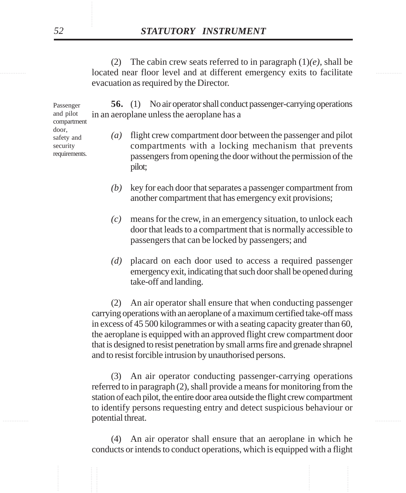**Incredict and at different emergency exits to facilitate** (2) The cabin crew seats referred to in paragraph  $(1)(e)$ , shall be evacuation as required by the Director.

> **56.** (1) No air operator shall conduct passenger-carrying operations in an aeroplane unless the aeroplane has a

# *(a)* flight crew compartment door between the passenger and pilot

- compartments with a locking mechanism that prevents passengers from opening the door without the permission of the pilot;
- *(b)* key for each door that separates a passenger compartment from another compartment that has emergency exit provisions;
- *(c)* means for the crew, in an emergency situation, to unlock each door that leads to a compartment that is normally accessible to passengers that can be locked by passengers; and
- *(d)* placard on each door used to access a required passenger emergency exit, indicating that such door shall be opened during take-off and landing.

(2) An air operator shall ensure that when conducting passenger carrying operations with an aeroplane of a maximum certified take-off mass in excess of 45 500 kilogrammes or with a seating capacity greater than 60, the aeroplane is equipped with an approved flight crew compartment door that is designed to resist penetration by small arms fire and grenade shrapnel and to resist forcible intrusion by unauthorised persons.

**Example 1 potential threat.** The set of the set of the set of the set of the set of the set of the set of the set of the set of the set of the set of the set of the set of the set of the set of the set of the set of the (3) An air operator conducting passenger-carrying operations referred to in paragraph (2), shall provide a means for monitoring from the station of each pilot, the entire door area outside the flight crew compartment to identify persons requesting entry and detect suspicious behaviour or

> (4) An air operator shall ensure that an aeroplane in which he conducts or intends to conduct operations, which is equipped with a flight

Passenger and pilot compartment door, safety and security requirements.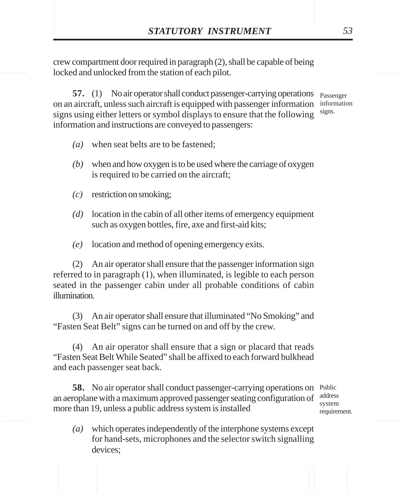**STATUTORY INSTRUMENT** 53<br>
crew compartment door required in paragraph (2), shall be capable of being<br>
locked and unlocked from the station of each pilot. crew compartment door required in paragraph (2), shall be capable of being locked and unlocked from the station of each pilot.

> **57.** (1) No air operator shall conduct passenger-carrying operations on an aircraft, unless such aircraft is equipped with passenger information signs using either letters or symbol displays to ensure that the following information and instructions are conveyed to passengers: Passenger information signs.

- *(a)* when seat belts are to be fastened;
- *(b)* when and how oxygen is to be used where the carriage of oxygen is required to be carried on the aircraft;
- *(c)* restriction on smoking;
- *(d)* location in the cabin of all other items of emergency equipment such as oxygen bottles, fire, axe and first-aid kits;
- *(e)* location and method of opening emergency exits.

(2) An air operator shall ensure that the passenger information sign referred to in paragraph (1), when illuminated, is legible to each person seated in the passenger cabin under all probable conditions of cabin illumination.

(3) An air operator shall ensure that illuminated "No Smoking" and "Fasten Seat Belt" signs can be turned on and off by the crew.

(4) An air operator shall ensure that a sign or placard that reads "Fasten Seat Belt While Seated" shall be affixed to each forward bulkhead and each passenger seat back.

58. No air operator shall conduct passenger-carrying operations on Public an aeroplane with a maximum approved passenger seating configuration of more than 19, unless a public address system is installed

address system requirement.

*(a)* which operates independently of the interphone systems except for hand-sets, microphones and the selector switch signalling devices;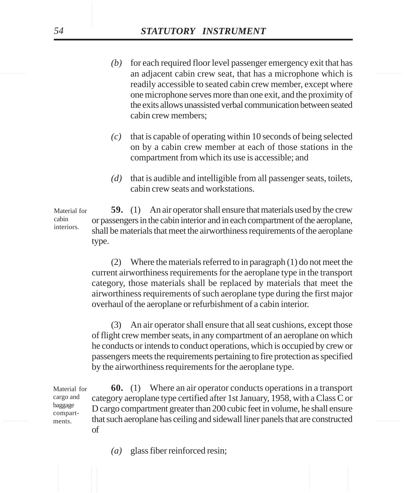- an adjacent cabin crew seat, that has a microphone which is *(b)* for each required floor level passenger emergency exit that has readily accessible to seated cabin crew member, except where one microphone serves more than one exit, and the proximity of the exits allows unassisted verbal communication between seated cabin crew members;
	- *(c)* that is capable of operating within 10 seconds of being selected on by a cabin crew member at each of those stations in the compartment from which its use is accessible; and
	- *(d)* that is audible and intelligible from all passenger seats, toilets, cabin crew seats and workstations.

**59.** (1) An air operator shall ensure that materials used by the crew or passengers in the cabin interior and in each compartment of the aeroplane, shall be materials that meet the airworthiness requirements of the aeroplane type. Material for cabin interiors.

> (2) Where the materials referred to in paragraph (1) do not meet the current airworthiness requirements for the aeroplane type in the transport category, those materials shall be replaced by materials that meet the airworthiness requirements of such aeroplane type during the first major overhaul of the aeroplane or refurbishment of a cabin interior.

> (3) An air operator shall ensure that all seat cushions, except those of flight crew member seats, in any compartment of an aeroplane on which he conducts or intends to conduct operations, which is occupied by crew or passengers meets the requirements pertaining to fire protection as specified by the airworthiness requirements for the aeroplane type.

............... ............... that such aeroplane has ceiling and sidewall liner panels that are constructed **60.** (1) Where an air operator conducts operations in a transport category aeroplane type certified after 1st January, 1958, with a Class C or D cargo compartment greater than 200 cubic feet in volume, he shall ensure of Material for cargo and baggage compartments.

*(a)* glass fiber reinforced resin;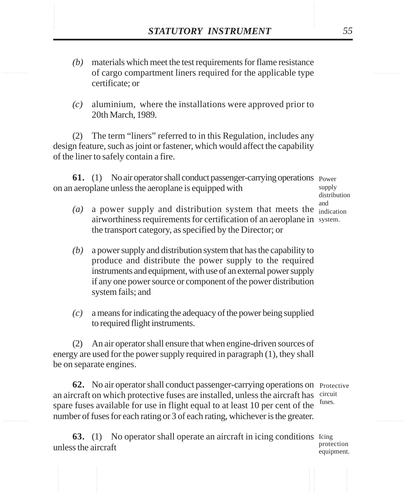- **STATUTORY INSTRUMENT** 55<br>(b) materials which meet the test requirements for flame resistance<br>of cargo compartment liners required for the applicable type *(b)* materials which meet the test requirements for flame resistance of cargo compartment liners required for the applicable type certificate; or
	- *(c)* aluminium, where the installations were approved prior to 20th March, 1989.

(2) The term "liners" referred to in this Regulation, includes any design feature, such as joint or fastener, which would affect the capability of the liner to safely contain a fire.

**61.** (1) No air operator shall conduct passenger-carrying operations Power on an aeroplane unless the aeroplane is equipped with

- $(a)$  a power supply and distribution system that meets the  $\frac{d}{d}$  indication airworthiness requirements for certification of an aeroplane in system. the transport category, as specified by the Director; or
- *(b)* a power supply and distribution system that has the capability to produce and distribute the power supply to the required instruments and equipment, with use of an external power supply if any one power source or component of the power distribution system fails; and
- *(c)* a means for indicating the adequacy of the power being supplied to required flight instruments.

(2) An air operator shall ensure that when engine-driven sources of energy are used for the power supply required in paragraph (1), they shall be on separate engines.

**62.** No air operator shall conduct passenger-carrying operations on Protective an aircraft on which protective fuses are installed, unless the aircraft has circuit spare fuses available for use in flight equal to at least 10 per cent of the number of fuses for each rating or 3 of each rating, whichever is the greater. fuses.

**63.** (1) No operator shall operate an aircraft in icing conditions Leing unless the aircraft

protection equipment.

supply distribution and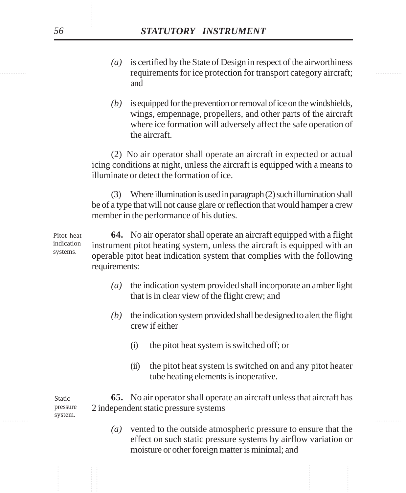- requirements for ice protection for transport category aircraft; *(a)* is certified by the State of Design in respect of the airworthiness and
	- *(b)* is equipped for the prevention or removal of ice on the windshields, wings, empennage, propellers, and other parts of the aircraft where ice formation will adversely affect the safe operation of the aircraft.

(2) No air operator shall operate an aircraft in expected or actual icing conditions at night, unless the aircraft is equipped with a means to illuminate or detect the formation of ice.

(3) Where illumination is used in paragraph (2) such illumination shall be of a type that will not cause glare or reflection that would hamper a crew member in the performance of his duties.

**64.** No air operator shall operate an aircraft equipped with a flight instrument pitot heating system, unless the aircraft is equipped with an operable pitot heat indication system that complies with the following requirements: systems.

- *(a)* the indication system provided shall incorporate an amber light that is in clear view of the flight crew; and
- *(b)* the indication system provided shall be designed to alert the flight crew if either
	- (i) the pitot heat system is switched off; or
	- (ii) the pitot heat system is switched on and any pitot heater tube heating elements is inoperative.

............... ............... **65.** No air operator shall operate an aircraft unless that aircraft has 2 independent static pressure systems Static pressure system.

> *(a)* vented to the outside atmospheric pressure to ensure that the effect on such static pressure systems by airflow variation or moisture or other foreign matter is minimal; and

Pitot heat indication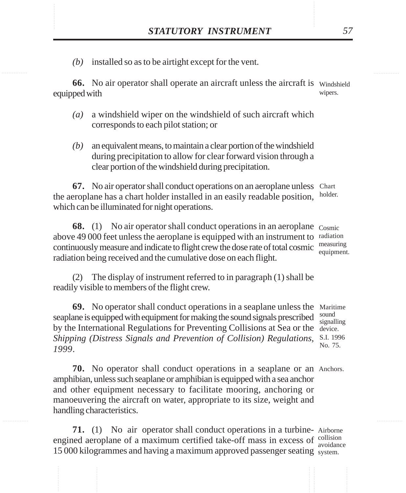STATUTORY INSTRUMENT 57<br>(b) installed so as to be airtight except for the vent. *(b)* installed so as to be airtight except for the vent.

> **66.** No air operator shall operate an aircraft unless the aircraft is windshield equipped with wipers.

- *(a)* a windshield wiper on the windshield of such aircraft which corresponds to each pilot station; or
- *(b)* an equivalent means, to maintain a clear portion of the windshield during precipitation to allow for clear forward vision through a clear portion of the windshield during precipitation.

**67.** No air operator shall conduct operations on an aeroplane unless Chart the aeroplane has a chart holder installed in an easily readable position, holder. which can be illuminated for night operations.

**68.** (1) No air operator shall conduct operations in an aeroplane Cosmic above 49 000 feet unless the aeroplane is equipped with an instrument to radiation continuously measure and indicate to flight crew the dose rate of total cosmic radiation being received and the cumulative dose on each flight. measuring equipment.

(2) The display of instrument referred to in paragraph (1) shall be readily visible to members of the flight crew.

**69.** No operator shall conduct operations in a seaplane unless the Maritime seaplane is equipped with equipment for making the sound signals prescribed  $\frac{\text{sound}}{\text{signal}}$ by the International Regulations for Preventing Collisions at Sea or the device. *Shipping (Distress Signals and Prevention of Collision) Regulations,* S.I. 1996 *1999*.

signalling No. 75.

**70.** No operator shall conduct operations in a seaplane or an Anchors. amphibian, unless such seaplane or amphibian is equipped with a sea anchor and other equipment necessary to facilitate mooring, anchoring or manoeuvering the aircraft on water, appropriate to its size, weight and handling characteristics.

**71.** (1) No air operator shall conduct operations in a turbine-Airborne engined aeroplane of a maximum certified take-off mass in excess of collision 15 000 kilogrammes and having a maximum approved passenger seating system. avoidance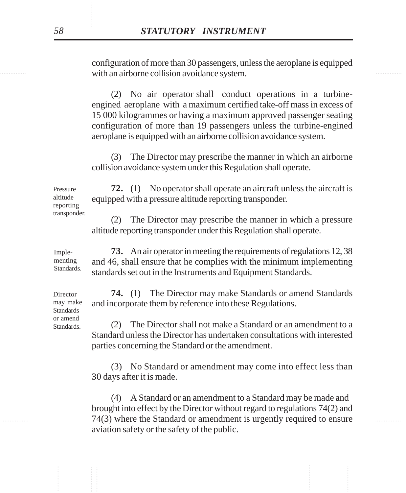with an airborne collision avoidance system. configuration of more than 30 passengers, unless the aeroplane is equipped

> (2) No air operator shall conduct operations in a turbineengined aeroplane with a maximum certified take-off mass in excess of 15 000 kilogrammes or having a maximum approved passenger seating configuration of more than 19 passengers unless the turbine-engined aeroplane is equipped with an airborne collision avoidance system.

> (3) The Director may prescribe the manner in which an airborne collision avoidance system under this Regulation shall operate.

**72.** (1) No operator shall operate an aircraft unless the aircraft is equipped with a pressure altitude reporting transponder. Pressure altitude reporting

> (2) The Director may prescribe the manner in which a pressure altitude reporting transponder under this Regulation shall operate.

**73.** An air operator in meeting the requirements of regulations 12, 38 and 46, shall ensure that he complies with the minimum implementing standards set out in the Instruments and Equipment Standards. menting Standards.

> **74.** (1) The Director may make Standards or amend Standards and incorporate them by reference into these Regulations.

(2) The Director shall not make a Standard or an amendment to a Standard unless the Director has undertaken consultations with interested parties concerning the Standard or the amendment.

(3) No Standard or amendment may come into effect less than 30 days after it is made.

............... ............... 74(3) where the Standard or amendment is urgently required to ensure (4) A Standard or an amendment to a Standard may be made and brought into effect by the Director without regard to regulations 74(2) and aviation safety or the safety of the public.

Director may make Standards or amend

Standards.

Imple-

transponder.